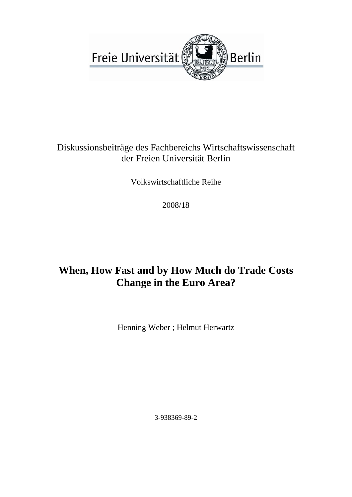

### Diskussionsbeiträge des Fachbereichs Wirtschaftswissenschaft der Freien Universität Berlin

Volkswirtschaftliche Reihe

2008/18

## **When, How Fast and by How Much do Trade Costs Change in the Euro Area?**

Henning Weber ; Helmut Herwartz

3-938369-89-2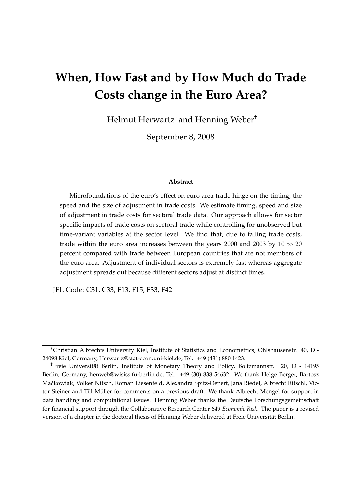# **When, How Fast and by How Much do Trade Costs change in the Euro Area?**

Helmut Herwartz<sup>∗</sup> and Henning Weber†

September 8, 2008

#### **Abstract**

Microfoundations of the euro's effect on euro area trade hinge on the timing, the speed and the size of adjustment in trade costs. We estimate timing, speed and size of adjustment in trade costs for sectoral trade data. Our approach allows for sector specific impacts of trade costs on sectoral trade while controlling for unobserved but time-variant variables at the sector level. We find that, due to falling trade costs, trade within the euro area increases between the years 2000 and 2003 by 10 to 20 percent compared with trade between European countries that are not members of the euro area. Adjustment of individual sectors is extremely fast whereas aggregate adjustment spreads out because different sectors adjust at distinct times.

JEL Code: C31, C33, F13, F15, F33, F42

<sup>∗</sup>Christian Albrechts University Kiel, Institute of Statistics and Econometrics, Ohlshausenstr. 40, D - 24098 Kiel, Germany, Herwartz@stat-econ.uni-kiel.de, Tel.: +49 (431) 880 1423.

<sup>†</sup>Freie Universitat Berlin, Institute of Monetary Theory and Policy, Boltzmannstr. 20, D - 14195 ¨ Berlin, Germany, henweb@wisiss.fu-berlin.de, Tel.: +49 (30) 838 54632. We thank Helge Berger, Bartosz Mackowiak, Volker Nitsch, Roman Liesenfeld, Alexandra Spitz-Oenert, Jana Riedel, Albrecht Ritschl, Vic- ´ tor Steiner and Till Müller for comments on a previous draft. We thank Albrecht Mengel for support in data handling and computational issues. Henning Weber thanks the Deutsche Forschungsgemeinschaft for financial support through the Collaborative Research Center 649 *Economic Risk*. The paper is a revised version of a chapter in the doctoral thesis of Henning Weber delivered at Freie Universität Berlin.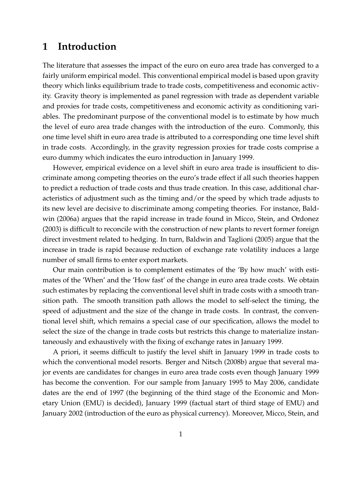### **1 Introduction**

The literature that assesses the impact of the euro on euro area trade has converged to a fairly uniform empirical model. This conventional empirical model is based upon gravity theory which links equilibrium trade to trade costs, competitiveness and economic activity. Gravity theory is implemented as panel regression with trade as dependent variable and proxies for trade costs, competitiveness and economic activity as conditioning variables. The predominant purpose of the conventional model is to estimate by how much the level of euro area trade changes with the introduction of the euro. Commonly, this one time level shift in euro area trade is attributed to a corresponding one time level shift in trade costs. Accordingly, in the gravity regression proxies for trade costs comprise a euro dummy which indicates the euro introduction in January 1999.

However, empirical evidence on a level shift in euro area trade is insufficient to discriminate among competing theories on the euro's trade effect if all such theories happen to predict a reduction of trade costs and thus trade creation. In this case, additional characteristics of adjustment such as the timing and/or the speed by which trade adjusts to its new level are decisive to discriminate among competing theories. For instance, Baldwin (2006a) argues that the rapid increase in trade found in Micco, Stein, and Ordonez (2003) is difficult to reconcile with the construction of new plants to revert former foreign direct investment related to hedging. In turn, Baldwin and Taglioni (2005) argue that the increase in trade is rapid because reduction of exchange rate volatility induces a large number of small firms to enter export markets.

Our main contribution is to complement estimates of the 'By how much' with estimates of the 'When' and the 'How fast' of the change in euro area trade costs. We obtain such estimates by replacing the conventional level shift in trade costs with a smooth transition path. The smooth transition path allows the model to self-select the timing, the speed of adjustment and the size of the change in trade costs. In contrast, the conventional level shift, which remains a special case of our specification, allows the model to select the size of the change in trade costs but restricts this change to materialize instantaneously and exhaustively with the fixing of exchange rates in January 1999.

A priori, it seems difficult to justify the level shift in January 1999 in trade costs to which the conventional model resorts. Berger and Nitsch (2008b) argue that several major events are candidates for changes in euro area trade costs even though January 1999 has become the convention. For our sample from January 1995 to May 2006, candidate dates are the end of 1997 (the beginning of the third stage of the Economic and Monetary Union (EMU) is decided), January 1999 (factual start of third stage of EMU) and January 2002 (introduction of the euro as physical currency). Moreover, Micco, Stein, and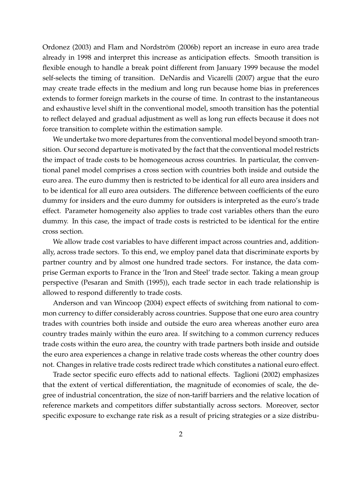Ordonez (2003) and Flam and Nordström (2006b) report an increase in euro area trade already in 1998 and interpret this increase as anticipation effects. Smooth transition is flexible enough to handle a break point different from January 1999 because the model self-selects the timing of transition. DeNardis and Vicarelli (2007) argue that the euro may create trade effects in the medium and long run because home bias in preferences extends to former foreign markets in the course of time. In contrast to the instantaneous and exhaustive level shift in the conventional model, smooth transition has the potential to reflect delayed and gradual adjustment as well as long run effects because it does not force transition to complete within the estimation sample.

We undertake two more departures from the conventional model beyond smooth transition. Our second departure is motivated by the fact that the conventional model restricts the impact of trade costs to be homogeneous across countries. In particular, the conventional panel model comprises a cross section with countries both inside and outside the euro area. The euro dummy then is restricted to be identical for all euro area insiders and to be identical for all euro area outsiders. The difference between coefficients of the euro dummy for insiders and the euro dummy for outsiders is interpreted as the euro's trade effect. Parameter homogeneity also applies to trade cost variables others than the euro dummy. In this case, the impact of trade costs is restricted to be identical for the entire cross section.

We allow trade cost variables to have different impact across countries and, additionally, across trade sectors. To this end, we employ panel data that discriminate exports by partner country and by almost one hundred trade sectors. For instance, the data comprise German exports to France in the 'Iron and Steel' trade sector. Taking a mean group perspective (Pesaran and Smith (1995)), each trade sector in each trade relationship is allowed to respond differently to trade costs.

Anderson and van Wincoop (2004) expect effects of switching from national to common currency to differ considerably across countries. Suppose that one euro area country trades with countries both inside and outside the euro area whereas another euro area country trades mainly within the euro area. If switching to a common currency reduces trade costs within the euro area, the country with trade partners both inside and outside the euro area experiences a change in relative trade costs whereas the other country does not. Changes in relative trade costs redirect trade which constitutes a national euro effect.

Trade sector specific euro effects add to national effects. Taglioni (2002) emphasizes that the extent of vertical differentiation, the magnitude of economies of scale, the degree of industrial concentration, the size of non-tariff barriers and the relative location of reference markets and competitors differ substantially across sectors. Moreover, sector specific exposure to exchange rate risk as a result of pricing strategies or a size distribu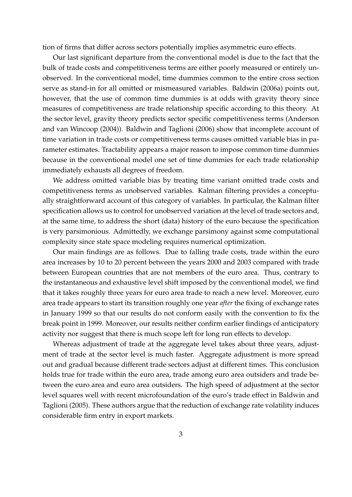tion of firms that differ across sectors potentially implies asymmetric euro effects.

Our last significant departure from the conventional model is due to the fact that the bulk of trade costs and competitiveness terms are either poorly measured or entirely unobserved. In the conventional model, time dummies common to the entire cross section serve as stand-in for all omitted or mismeasured variables. Baldwin (2006a) points out, however, that the use of common time dummies is at odds with gravity theory since measures of competitiveness are trade relationship specific according to this theory. At the sector level, gravity theory predicts sector specific competitiveness terms (Anderson and van Wincoop (2004)). Baldwin and Taglioni (2006) show that incomplete account of time variation in trade costs or competitiveness terms causes omitted variable bias in parameter estimates. Tractability appears a major reason to impose common time dummies because in the conventional model one set of time dummies for each trade relationship immediately exhausts all degrees of freedom.

We address omitted variable bias by treating time variant omitted trade costs and competitiveness terms as unobserved variables. Kalman filtering provides a conceptually straightforward account of this category of variables. In particular, the Kalman filter specification allows us to control for unobserved variation at the level of trade sectors and, at the same time, to address the short (data) history of the euro because the specification is very parsimonious. Admittedly, we exchange parsimony against some computational complexity since state space modeling requires numerical optimization.

Our main findings are as follows. Due to falling trade costs, trade within the euro area increases by 10 to 20 percent between the years 2000 and 2003 compared with trade between European countries that are not members of the euro area. Thus, contrary to the instantaneous and exhaustive level shift imposed by the conventional model, we find that it takes roughly three years for euro area trade to reach a new level. Moreover, euro area trade appears to start its transition roughly one year *after* the fixing of exchange rates in January 1999 so that our results do not conform easily with the convention to fix the break point in 1999. Moreover, our results neither confirm earlier findings of anticipatory activity nor suggest that there is much scope left for long run effects to develop.

Whereas adjustment of trade at the aggregate level takes about three years, adjustment of trade at the sector level is much faster. Aggregate adjustment is more spread out and gradual because different trade sectors adjust at different times. This conclusion holds true for trade within the euro area, trade among euro area outsiders and trade between the euro area and euro area outsiders. The high speed of adjustment at the sector level squares well with recent microfoundation of the euro's trade effect in Baldwin and Taglioni (2005). These authors argue that the reduction of exchange rate volatility induces considerable firm entry in export markets.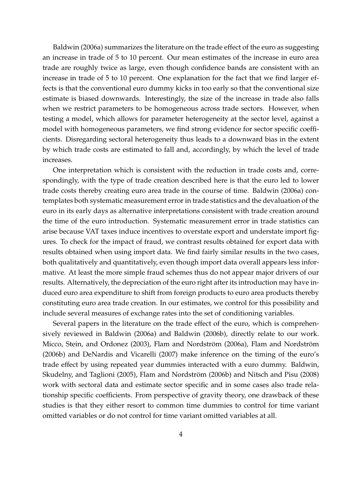Baldwin (2006a) summarizes the literature on the trade effect of the euro as suggesting an increase in trade of 5 to 10 percent. Our mean estimates of the increase in euro area trade are roughly twice as large, even though confidence bands are consistent with an increase in trade of 5 to 10 percent. One explanation for the fact that we find larger effects is that the conventional euro dummy kicks in too early so that the conventional size estimate is biased downwards. Interestingly, the size of the increase in trade also falls when we restrict parameters to be homogeneous across trade sectors. However, when testing a model, which allows for parameter heterogeneity at the sector level, against a model with homogeneous parameters, we find strong evidence for sector specific coefficients. Disregarding sectoral heterogeneity thus leads to a downward bias in the extent by which trade costs are estimated to fall and, accordingly, by which the level of trade increases.

One interpretation which is consistent with the reduction in trade costs and, correspondingly, with the type of trade creation described here is that the euro led to lower trade costs thereby creating euro area trade in the course of time. Baldwin (2006a) contemplates both systematic measurement error in trade statistics and the devaluation of the euro in its early days as alternative interpretations consistent with trade creation around the time of the euro introduction. Systematic measurement error in trade statistics can arise because VAT taxes induce incentives to overstate export and understate import figures. To check for the impact of fraud, we contrast results obtained for export data with results obtained when using import data. We find fairly similar results in the two cases, both qualitatively and quantitatively, even though import data overall appears less informative. At least the more simple fraud schemes thus do not appear major drivers of our results. Alternatively, the depreciation of the euro right after its introduction may have induced euro area expenditure to shift from foreign products to euro area products thereby constituting euro area trade creation. In our estimates, we control for this possibility and include several measures of exchange rates into the set of conditioning variables.

Several papers in the literature on the trade effect of the euro, which is comprehensively reviewed in Baldwin (2006a) and Baldwin (2006b), directly relate to our work. Micco, Stein, and Ordonez (2003), Flam and Nordström (2006a), Flam and Nordström (2006b) and DeNardis and Vicarelli (2007) make inference on the timing of the euro's trade effect by using repeated year dummies interacted with a euro dummy. Baldwin, Skudelny, and Taglioni (2005), Flam and Nordström (2006b) and Nitsch and Pisu (2008) work with sectoral data and estimate sector specific and in some cases also trade relationship specific coefficients. From perspective of gravity theory, one drawback of these studies is that they either resort to common time dummies to control for time variant omitted variables or do not control for time variant omitted variables at all.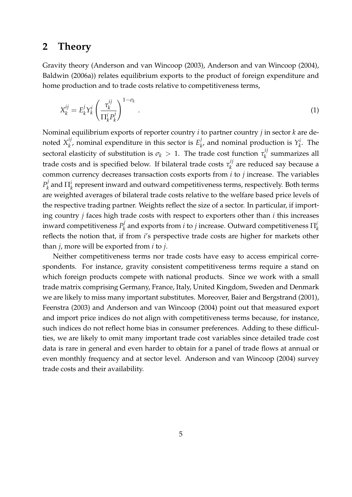### **2 Theory**

Gravity theory (Anderson and van Wincoop (2003), Anderson and van Wincoop (2004), Baldwin (2006a)) relates equilibrium exports to the product of foreign expenditure and home production and to trade costs relative to competitiveness terms,

<span id="page-7-0"></span>
$$
X_k^{ij} = E_k^j Y_k^i \left(\frac{\tau_k^{ij}}{\prod_k^i P_k^j}\right)^{1-\sigma_k}.
$$
\n(1)

Nominal equilibrium exports of reporter country *i* to partner country *j* in sector *k* are denoted *X ij*  $\mathbf{F}_k^{ij}$ , nominal expenditure in this sector is  $E_k^{j}$  $\mu_k^j$ , and nominal production is  $Y_k^j$  $\int_k^L$ . The sectoral elasticity of substitution is  $\sigma_k > 1$ . The trade cost function  $\tau_k^{ij}$  $\kappa_k^{\prime}$  summarizes all trade costs and is specified below. If bilateral trade costs  $\tau_k^{ij}$  $\kappa_k^{(1)}$  are reduced say because a common currency decreases transaction costs exports from *i* to *j* increase. The variables *P j*  $h^j_k$  and  $\Pi^i_k$  represent inward and outward competitiveness terms, respectively. Both terms are weighted averages of bilateral trade costs relative to the welfare based price levels of the respective trading partner. Weights reflect the size of a sector. In particular, if importing country *j* faces high trade costs with respect to exporters other than *i* this increases inward competitiveness *P j*  $\mathbf{z}_k^{(j)}$  and exports from  $i$  to  $j$  increase. Outward competitiveness  $\Pi_k^{(j)}$ reflects the notion that, if from *i*'s perspective trade costs are higher for markets other than *j*, more will be exported from *i* to *j*.

Neither competitiveness terms nor trade costs have easy to access empirical correspondents. For instance, gravity consistent competitiveness terms require a stand on which foreign products compete with national products. Since we work with a small trade matrix comprising Germany, France, Italy, United Kingdom, Sweden and Denmark we are likely to miss many important substitutes. Moreover, Baier and Bergstrand (2001), Feenstra (2003) and Anderson and van Wincoop (2004) point out that measured export and import price indices do not align with competitiveness terms because, for instance, such indices do not reflect home bias in consumer preferences. Adding to these difficulties, we are likely to omit many important trade cost variables since detailed trade cost data is rare in general and even harder to obtain for a panel of trade flows at annual or even monthly frequency and at sector level. Anderson and van Wincoop (2004) survey trade costs and their availability.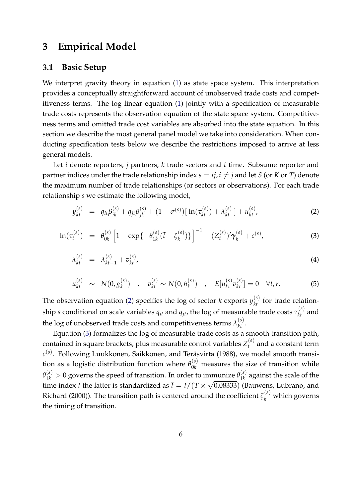### <span id="page-8-1"></span>**3 Empirical Model**

#### **3.1 Basic Setup**

We interpret gravity theory in equation [\(1\)](#page-7-0) as state space system. This interpretation provides a conceptually straightforward account of unobserved trade costs and competitiveness terms. The log linear equation [\(1\)](#page-7-0) jointly with a specification of measurable trade costs represents the observation equation of the state space system. Competitiveness terms and omitted trade cost variables are absorbed into the state equation. In this section we describe the most general panel model we take into consideration. When conducting specification tests below we describe the restrictions imposed to arrive at less general models.

Let *i* denote reporters, *j* partners, *k* trade sectors and *t* time. Subsume reporter and partner indices under the trade relationship index  $s = i j, i \neq j$  and let *S* (or *K* or *T*) denote the maximum number of trade relationships (or sectors or observations). For each trade relationship *s* we estimate the following model,

<span id="page-8-0"></span>
$$
y_{kt}^{(s)} = q_{it}\beta_{ik}^{(s)} + q_{jt}\beta_{jk}^{(s)} + (1 - \sigma^{(s)})\left[\ln(\tau_{kt}^{(s)}) + \lambda_{kt}^{(s)}\right] + u_{kt}^{(s)},\tag{2}
$$

$$
\ln(\tau_t^{(s)}) = \theta_{0k}^{(s)} \left[ 1 + \exp\{-\theta_{1k}^{(s)}(\tilde{t} - \zeta_k^{(s)})\} \right]^{-1} + (Z_t^{(s)})' \gamma_k^{(s)} + c^{(s)}, \tag{3}
$$

$$
\lambda_{kt}^{(s)} = \lambda_{kt-1}^{(s)} + v_{kt}^{(s)}, \tag{4}
$$

$$
u_{kt}^{(s)} \sim N(0, g_k^{(s)}) \quad , \quad v_{kt}^{(s)} \sim N(0, h_k^{(s)}) \quad , \quad E[u_{kt}^{(s)}v_{kr}^{(s)}] = 0 \quad \forall t, r. \tag{5}
$$

The observation equation [\(2\)](#page-8-0) specifies the log of sector *k* exports  $y_{kt}^{(s)}$  for trade relation $s$  ship  $s$  conditional on scale variables  $q_{it}$  and  $q_{jt}$ , the log of measurable trade costs  $\tau_{kt}^{(s)}$  and the log of unobserved trade costs and competitiveness terms  $\lambda_{kt}^{(s)}$ .

Equation [\(3\)](#page-8-0) formalizes the log of measurable trade costs as a smooth transition path, contained in square brackets, plus measurable control variables  $Z_t^{(s)}$  $t_t^{(s)}$  and a constant term  $c^{(s)}$ . Following Luukkonen, Saikkonen, and Teräsvirta (1988), we model smooth transition as a logistic distribution function where  $\theta_{0k}^{(s)}$  measures the size of transition while  $\theta_{1k}^{(s)} > 0$  governs the speed of transition. In order to immunize  $\theta_{1k}^{(s)}$ mmunize  $\theta_{1k}^{(s)}$  against the scale of the time index *t* the latter is standardized as  $\tilde{t} = t/(T \times \sqrt{0.08333})$  (Bauwens, Lubrano, and Richard (2000)). The transition path is centered around the coefficient  $\zeta_k^{(s)}$  which governs the timing of transition.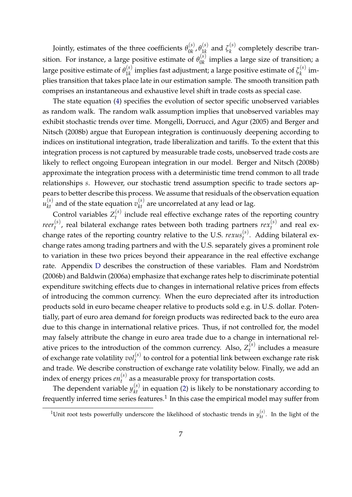Jointly, estimates of the three coefficients  $\theta_{0k}^{(s)}$  $\overset{(s)}{0k}$  ,  $\overset{\theta^{(s)}}{1k}$  $\zeta_k^{(s)}$  and  $\zeta_k^{(s)}$ *k* completely describe transition. For instance, a large positive estimate of  $\theta_{0k}^{(s)}$  $\int_{0k}^{0}$  implies a large size of transition; a large positive estimate of  $\theta_{1k}^{(s)}$  $\mathbf{1}_{1k}^{(s)}$  implies fast adjustment; a large positive estimate of  $\zeta_k^{(s)}$  $\int_k^{(3)}$  implies transition that takes place late in our estimation sample. The smooth transition path comprises an instantaneous and exhaustive level shift in trade costs as special case.

The state equation [\(4\)](#page-8-0) specifies the evolution of sector specific unobserved variables as random walk. The random walk assumption implies that unobserved variables may exhibit stochastic trends over time. Mongelli, Dorrucci, and Agur (2005) and Berger and Nitsch (2008b) argue that European integration is continuously deepening according to indices on institutional integration, trade liberalization and tariffs. To the extent that this integration process is not captured by measurable trade costs, unobserved trade costs are likely to reflect ongoing European integration in our model. Berger and Nitsch (2008b) approximate the integration process with a deterministic time trend common to all trade relationships *s*. However, our stochastic trend assumption specific to trade sectors appears to better describe this process. We assume that residuals of the observation equation  $u_{kt}^{(s)}$  and of the state equation  $v_{kt}^{(s)}$  are uncorrelated at any lead or lag.

Control variables  $Z_t^{(s)}$  $t<sup>0</sup>$  include real effective exchange rates of the reporting country *reer* (*s*)  $t_t^{(s)}$ , real bilateral exchange rates between both trading partners  $rex_t^{(s)}$  $t^{(s)}$  and real exchange rates of the reporting country relative to the U.S.  $re xus_t^{(s)}$ *t* . Adding bilateral exchange rates among trading partners and with the U.S. separately gives a prominent role to variation in these two prices beyond their appearance in the real effective exchange rate. Appendix [D](#page-27-0) describes the construction of these variables. Flam and Nordström (2006b) and Baldwin (2006a) emphasize that exchange rates help to discriminate potential expenditure switching effects due to changes in international relative prices from effects of introducing the common currency. When the euro depreciated after its introduction products sold in euro became cheaper relative to products sold e.g. in U.S. dollar. Potentially, part of euro area demand for foreign products was redirected back to the euro area due to this change in international relative prices. Thus, if not controlled for, the model may falsely attribute the change in euro area trade due to a change in international relative prices to the introduction of the common currency. Also,  $Z_t^{(s)}$  $t_t^{(s)}$  includes a measure of exchange rate volatility  $vol_t^{(s)}$  to control for a potential link between exchange rate risk and trade. We describe construction of exchange rate volatility below. Finally, we add an index of energy prices *en* (*s*)  $t_t^{(s)}$  as a measurable proxy for transportation costs.

The dependent variable  $y_{kt}^{(s)}$  in equation [\(2\)](#page-8-0) is likely to be nonstationary according to frequently inferred time series features.<sup>1</sup> In this case the empirical model may suffer from

<sup>&</sup>lt;sup>1</sup>Unit root tests powerfully underscore the likelihood of stochastic trends in  $y_{kt}^{(s)}$ . In the light of the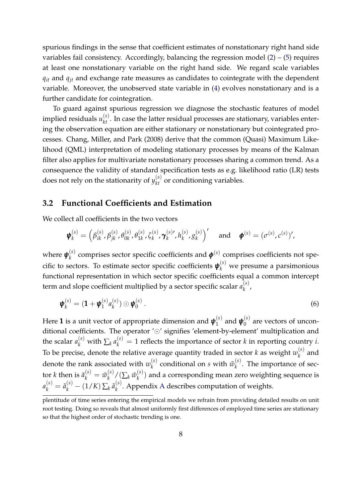spurious findings in the sense that coefficient estimates of nonstationary right hand side variables fail consistency. Accordingly, balancing the regression model  $(2) - (5)$  $(2) - (5)$  $(2) - (5)$  requires at least one nonstationary variable on the right hand side. We regard scale variables *qit* and *qjt* and exchange rate measures as candidates to cointegrate with the dependent variable. Moreover, the unobserved state variable in [\(4\)](#page-8-0) evolves nonstationary and is a further candidate for cointegration.

To guard against spurious regression we diagnose the stochastic features of model implied residuals  $u_{kt}^{(s)}$ . In case the latter residual processes are stationary, variables entering the observation equation are either stationary or nonstationary but cointegrated processes. Chang, Miller, and Park (2008) derive that the common (Quasi) Maximum Likelihood (QML) interpretation of modeling stationary processes by means of the Kalman filter also applies for multivariate nonstationary processes sharing a common trend. As a consequence the validity of standard specification tests as e.g. likelihood ratio (LR) tests does not rely on the stationarity of  $y_{kt}^{(s)}$  or conditioning variables.

#### **3.2 Functional Coefficients and Estimation**

We collect all coefficients in the two vectors

$$
\boldsymbol{\psi}_{k}^{(s)} = \left(\beta_{ik}^{(s)}, \beta_{jk}^{(s)}, \theta_{0k}^{(s)}, \theta_{1k}^{(s)}, \zeta_{k}^{(s)}, \boldsymbol{\gamma}_{k}^{(s)}, \theta_{k}^{(s)}, g_{k}^{(s)}\right)' \text{ and } \boldsymbol{\phi}^{(s)} = (\sigma^{(s)}, c^{(s)})',
$$

where  $\pmb{\psi}_k^{(s)}$  $\mathbf{R}_k^{(s)}$  comprises sector specific coefficients and  $\boldsymbol{\phi}^{(s)}$  comprises coefficients not specific to sectors. To estimate sector specific coefficients  $\pmb{\psi}_k^{(s)}$  we presume a parsimonious functional representation in which sector specific coefficients equal a common intercept term and slope coefficient multiplied by a sector specific scalar  $a_k^{(s)}$ *k* ,

$$
\boldsymbol{\psi}_k^{(s)} = (\mathbf{1} + \boldsymbol{\psi}_1^{(s)} a_k^{(s)}) \odot \boldsymbol{\psi}_0^{(s)} . \tag{6}
$$

Here 1 is a unit vector of appropriate dimension and *ψ* (*s*)  $y_1^{(s)}$  and  $\boldsymbol{\psi}_0^{(s)}$  $0^{(8)}$  are vectors of unconditional coefficients. The operator ' $\odot$ ' signifies 'element-by-element' multiplication and the scalar  $a_k^{(s)}$  with  $\sum_k a_k^{(s)} = 1$  reflects the importance of sector *k* in reporting country *i*. To be precise, denote the relative average quantity traded in sector  $k$  as weight  $w_k^{(s)}$  $\int_k^{(3)}$  and denote the rank associated with  $w_k^{(s)}$  $\tilde{w}_k^{(s)}$  conditional on *s* with  $\tilde{w}_k^{(s)}$  $k^{(s)}$ . The importance of sector *k* then is  $\tilde{a}_k^{(s)} = \tilde{w}_k^{(s)}$  $\binom{(s)}{k}$  /  $\big(\sum_k \tilde{w}^{(s)}_k\big)$ *k* ) and a corresponding mean zero weighting sequence is  $a_k^{(s)} = \tilde{a}_k^{(s)} - (1/K) \sum_k \tilde{a}_k^{(s)}$ *k* . Appendix [A](#page-25-0) describes computation of weights.

plentitude of time series entering the empirical models we refrain from providing detailed results on unit root testing. Doing so reveals that almost uniformly first differences of employed time series are stationary so that the highest order of stochastic trending is one.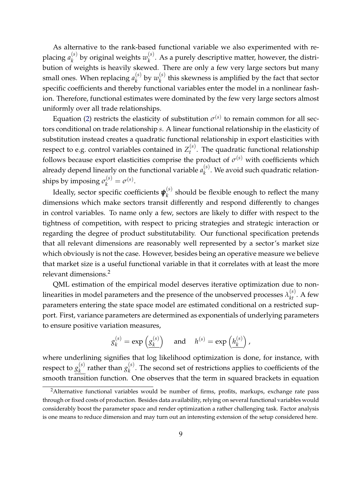As alternative to the rank-based functional variable we also experimented with replacing *a* (*s*)  $\binom{(s)}{k}$  by original weights  $w_k^{(s)}$ *k* . As a purely descriptive matter, however, the distribution of weights is heavily skewed. There are only a few very large sectors but many small ones. When replacing  $a_k^{(s)}$  $\binom{s}{k}$  by  $w_k^{(s)}$  $\kappa_k^{(s)}$  this skewness is amplified by the fact that sector specific coefficients and thereby functional variables enter the model in a nonlinear fashion. Therefore, functional estimates were dominated by the few very large sectors almost uniformly over all trade relationships.

Equation [\(2\)](#page-8-0) restricts the elasticity of substitution  $\sigma^{(s)}$  to remain common for all sectors conditional on trade relationship *s*. A linear functional relationship in the elasticity of substitution instead creates a quadratic functional relationship in export elasticities with respect to e.g. control variables contained in  $Z_t^{(s)}$ *t* . The quadratic functional relationship follows because export elasticities comprise the product of  $\sigma^{(s)}$  with coefficients which already depend linearly on the functional variable  $a_k^{(s)}$ *k* . We avoid such quadratic relationships by imposing  $\sigma_k^{(s)} = \sigma^{(s)}$ .

Ideally, sector specific coefficients *ψ* (*s*)  $\binom{S}{k}$  should be flexible enough to reflect the many dimensions which make sectors transit differently and respond differently to changes in control variables. To name only a few, sectors are likely to differ with respect to the tightness of competition, with respect to pricing strategies and strategic interaction or regarding the degree of product substitutability. Our functional specification pretends that all relevant dimensions are reasonably well represented by a sector's market size which obviously is not the case. However, besides being an operative measure we believe that market size is a useful functional variable in that it correlates with at least the more relevant dimensions.<sup>2</sup>

QML estimation of the empirical model deserves iterative optimization due to nonlinearities in model parameters and the presence of the unobserved processes  $\lambda^{(s)}_{kt}$ . A few parameters entering the state space model are estimated conditional on a restricted support. First, variance parameters are determined as exponentials of underlying parameters to ensure positive variation measures,

$$
g_k^{(s)} = \exp\left(g_k^{(s)}\right)
$$
 and  $h^{(s)} = \exp\left(h_k^{(s)}\right)$ ,

where underlining signifies that log likelihood optimization is done, for instance, with respect to  $g_k^{(s)}$  $\frac{k}{k}$  rather than  $g_k^{(s)}$  $\chi_k^{(3)}$ . The second set of restrictions applies to coefficients of the smooth transition function. One observes that the term in squared brackets in equation

<sup>&</sup>lt;sup>2</sup>Alternative functional variables would be number of firms, profits, markups, exchange rate pass through or fixed costs of production. Besides data availability, relying on several functional variables would considerably boost the parameter space and render optimization a rather challenging task. Factor analysis is one means to reduce dimension and may turn out an interesting extension of the setup considered here.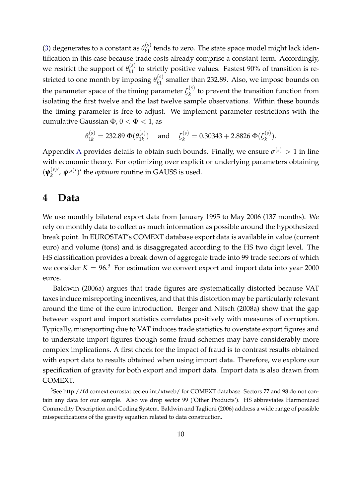[\(3\)](#page-8-0) degenerates to a constant as  $\theta_{k1}^{(s)}$  $\frac{1}{k}$  tends to zero. The state space model might lack identification in this case because trade costs already comprise a constant term. Accordingly, we restrict the support of  $\theta_{k1}^{(s)}$  $\frac{f^{(3)}_{k1}}{k1}$  to strictly positive values. Fastest 90% of transition is restricted to one month by imposing  $\theta_{k1}^{(s)}$  $\chi_{k1}^{(5)}$  smaller than 232.89. Also, we impose bounds on the parameter space of the timing parameter  $\zeta_k^{(s)}$  $\kappa_k^{(3)}$  to prevent the transition function from isolating the first twelve and the last twelve sample observations. Within these bounds the timing parameter is free to adjust. We implement parameter restrictions with the cumulative Gaussian  $\Phi$ ,  $0 < \Phi < 1$ , as

$$
\theta_{1k}^{(s)} = 232.89 \Phi(\underline{\theta_{1k}^{(s)}}) \quad \text{ and } \quad \zeta_k^{(s)} = 0.30343 + 2.8826 \Phi(\underline{\zeta_k^{(s)}}).
$$

[A](#page-25-0)ppendix A provides details to obtain such bounds. Finally, we ensure  $\sigma^{(s)} > 1$  in line with economic theory. For optimizing over explicit or underlying parameters obtaining  $(\boldsymbol{\psi}_k^{(s)}{}'$  $(\mathbf{k}^{(s)}_k, \boldsymbol{\phi}^{(s) \prime})'$  the *optmum* routine in GAUSS is used.

#### <span id="page-12-0"></span>**4 Data**

We use monthly bilateral export data from January 1995 to May 2006 (137 months). We rely on monthly data to collect as much information as possible around the hypothesized break point. In EUROSTAT's COMEXT database export data is available in value (current euro) and volume (tons) and is disaggregated according to the HS two digit level. The HS classification provides a break down of aggregate trade into 99 trade sectors of which we consider  $K = 96<sup>3</sup>$  For estimation we convert export and import data into year 2000 euros.

Baldwin (2006a) argues that trade figures are systematically distorted because VAT taxes induce misreporting incentives, and that this distortion may be particularly relevant around the time of the euro introduction. Berger and Nitsch (2008a) show that the gap between export and import statistics correlates positively with measures of corruption. Typically, misreporting due to VAT induces trade statistics to overstate export figures and to understate import figures though some fraud schemes may have considerably more complex implications. A first check for the impact of fraud is to contrast results obtained with export data to results obtained when using import data. Therefore, we explore our specification of gravity for both export and import data. Import data is also drawn from COMEXT.

<sup>&</sup>lt;sup>3</sup>See http://fd.comext.eurostat.cec.eu.int/xtweb/ for COMEXT database. Sectors 77 and 98 do not contain any data for our sample. Also we drop sector 99 ('Other Products'). HS abbreviates Harmonized Commodity Description and Coding System. Baldwin and Taglioni (2006) address a wide range of possible misspecifications of the gravity equation related to data construction.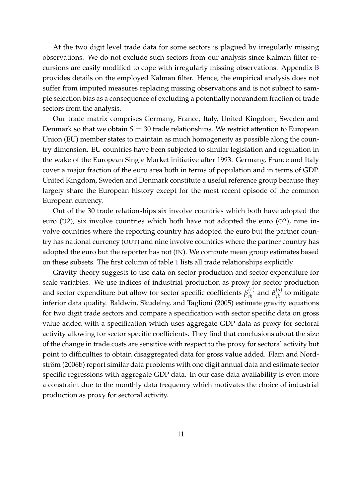At the two digit level trade data for some sectors is plagued by irregularly missing observations. We do not exclude such sectors from our analysis since Kalman filter recursions are easily modified to cope with irregularly missing observations. Appendix [B](#page-26-0) provides details on the employed Kalman filter. Hence, the empirical analysis does not suffer from imputed measures replacing missing observations and is not subject to sample selection bias as a consequence of excluding a potentially nonrandom fraction of trade sectors from the analysis.

Our trade matrix comprises Germany, France, Italy, United Kingdom, Sweden and Denmark so that we obtain  $S = 30$  trade relationships. We restrict attention to European Union (EU) member states to maintain as much homogeneity as possible along the country dimension. EU countries have been subjected to similar legislation and regulation in the wake of the European Single Market initiative after 1993. Germany, France and Italy cover a major fraction of the euro area both in terms of population and in terms of GDP. United Kingdom, Sweden and Denmark constitute a useful reference group because they largely share the European history except for the most recent episode of the common European currency.

Out of the 30 trade relationships six involve countries which both have adopted the euro (U2), six involve countries which both have not adopted the euro (O2), nine involve countries where the reporting country has adopted the euro but the partner country has national currency (OUT) and nine involve countries where the partner country has adopted the euro but the reporter has not (IN). We compute mean group estimates based on these subsets. The first column of table [1](#page-30-0) lists all trade relationships explicitly.

Gravity theory suggests to use data on sector production and sector expenditure for scale variables. We use indices of industrial production as proxy for sector production and sector expenditure but allow for sector specific coefficients  $\beta_{ik}^{(s)}$  and  $\beta_{jk}^{(s)}$  to mitigate inferior data quality. Baldwin, Skudelny, and Taglioni (2005) estimate gravity equations for two digit trade sectors and compare a specification with sector specific data on gross value added with a specification which uses aggregate GDP data as proxy for sectoral activity allowing for sector specific coefficients. They find that conclusions about the size of the change in trade costs are sensitive with respect to the proxy for sectoral activity but point to difficulties to obtain disaggregated data for gross value added. Flam and Nordström (2006b) report similar data problems with one digit annual data and estimate sector specific regressions with aggregate GDP data. In our case data availability is even more a constraint due to the monthly data frequency which motivates the choice of industrial production as proxy for sectoral activity.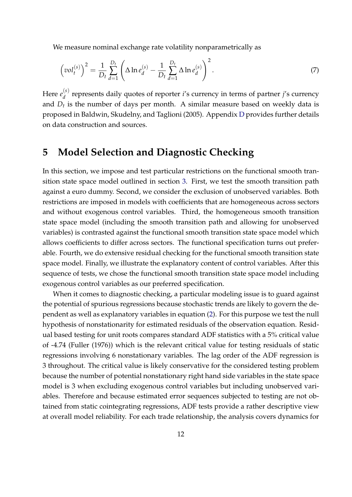We measure nominal exchange rate volatility nonparametrically as

$$
\left(vol_t^{(s)}\right)^2 = \frac{1}{D_t} \sum_{d=1}^{D_t} \left(\Delta \ln e_d^{(s)} - \frac{1}{D_t} \sum_{d=1}^{D_t} \Delta \ln e_d^{(s)}\right)^2.
$$
 (7)

Here  $e_d^{(s)}$ *d* represents daily quotes of reporter *i*'s currency in terms of partner *j*'s currency and *D<sup>t</sup>* is the number of days per month. A similar measure based on weekly data is proposed in Baldwin, Skudelny, and Taglioni (2005). Appendix [D](#page-27-0) provides further details on data construction and sources.

### **5 Model Selection and Diagnostic Checking**

In this section, we impose and test particular restrictions on the functional smooth transition state space model outlined in section [3.](#page-8-1) First, we test the smooth transition path against a euro dummy. Second, we consider the exclusion of unobserved variables. Both restrictions are imposed in models with coefficients that are homogeneous across sectors and without exogenous control variables. Third, the homogeneous smooth transition state space model (including the smooth transition path and allowing for unobserved variables) is contrasted against the functional smooth transition state space model which allows coefficients to differ across sectors. The functional specification turns out preferable. Fourth, we do extensive residual checking for the functional smooth transition state space model. Finally, we illustrate the explanatory content of control variables. After this sequence of tests, we chose the functional smooth transition state space model including exogenous control variables as our preferred specification.

When it comes to diagnostic checking, a particular modeling issue is to guard against the potential of spurious regressions because stochastic trends are likely to govern the dependent as well as explanatory variables in equation [\(2\)](#page-8-0). For this purpose we test the null hypothesis of nonstationarity for estimated residuals of the observation equation. Residual based testing for unit roots compares standard ADF statistics with a 5% critical value of -4.74 (Fuller (1976)) which is the relevant critical value for testing residuals of static regressions involving 6 nonstationary variables. The lag order of the ADF regression is 3 throughout. The critical value is likely conservative for the considered testing problem because the number of potential nonstationary right hand side variables in the state space model is 3 when excluding exogenous control variables but including unobserved variables. Therefore and because estimated error sequences subjected to testing are not obtained from static cointegrating regressions, ADF tests provide a rather descriptive view at overall model reliability. For each trade relationship, the analysis covers dynamics for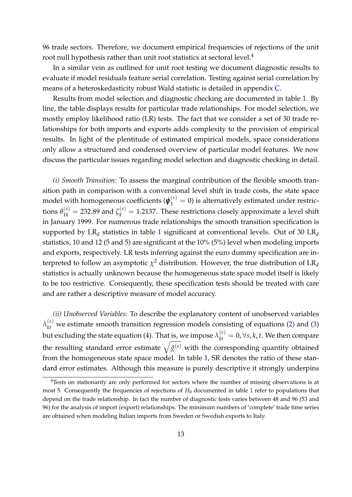96 trade sectors. Therefore, we document empirical frequencies of rejections of the unit root null hypothesis rather than unit root statistics at sectoral level.<sup>4</sup>

In a similar vein as outlined for unit root testing we document diagnostic results to evaluate if model residuals feature serial correlation. Testing against serial correlation by means of a heteroskedasticity robust Wald statistic is detailed in appendix [C.](#page-27-1)

Results from model selection and diagnostic checking are documented in table [1.](#page-30-0) By line, the table displays results for particular trade relationships. For model selection, we mostly employ likelihood ratio (LR) tests. The fact that we consider a set of 30 trade relationships for both imports and exports adds complexity to the provision of empirical results. In light of the plentitude of estimated empirical models, space considerations only allow a structured and condensed overview of particular model features. We now discuss the particular issues regarding model selection and diagnostic checking in detail.

*(i) Smooth Transition:* To assess the marginal contribution of the flexible smooth transition path in comparison with a conventional level shift in trade costs, the state space model with homogeneous coefficients ( $\boldsymbol{\psi}_1^{(s)} = 0$ ) is alternatively estimated under restrictions  $\theta_{1k}^{(s)} = 232.89$  and  $\zeta_k^{(s)} = 1.2137$ . These restrictions closely approximate a level shift in January 1999. For numerous trade relationships the smooth transition specification is supported by LR*<sup>d</sup>* statistics in table [1](#page-30-0) significant at conventional levels. Out of 30 LR*<sup>d</sup>* statistics, 10 and 12 (5 and 5) are significant at the 10% (5%) level when modeling imports and exports, respectively. LR tests inferring against the euro dummy specification are interpreted to follow an asymptotic  $\chi^2$  distribution. However, the true distribution of  $LR_d$ statistics is actually unknown because the homogeneous state space model itself is likely to be too restrictive. Consequently, these specification tests should be treated with care and are rather a descriptive measure of model accuracy.

*(ii) Unobserved Variables:* To describe the explanatory content of unobserved variables  $\lambda_{kt}^{(s)}$  we estimate smooth transition regression models consisting of equations [\(2\)](#page-8-0) and [\(3\)](#page-8-0) but excluding the state equation [\(4\)](#page-8-0). That <u>is, we impose  $\lambda_{kt}^{(s)} = 0$ ,</u>  $\forall s, k, t$ . We then compare the resulting standard error estimate  $\sqrt{\hat{g}^{(s)}}$  with the corresponding quantity obtained from the homogeneous state space model. In table [1,](#page-30-0) SR denotes the ratio of these standard error estimates. Although this measure is purely descriptive it strongly underpins

<sup>&</sup>lt;sup>4</sup>Tests on stationarity are only performed for sectors where the number of missing observations is at most 5. Consequently the frequencies of rejections of  $H_0$  documented in table [1](#page-30-0) refer to populations that depend on the trade relationship. In fact the number of diagnostic tests varies between 48 and 96 (53 and 96) for the analysis of import (export) relationships. The minimum numbers of 'complete' trade time series are obtained when modeling Italian imports from Sweden or Swedish exports to Italy.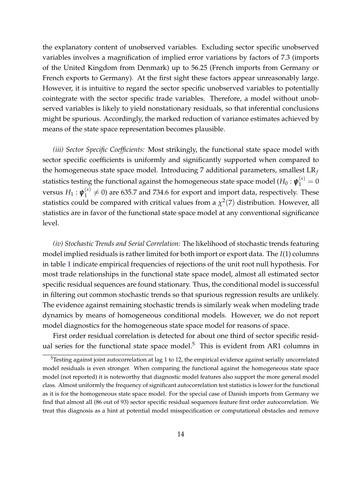the explanatory content of unobserved variables. Excluding sector specific unobserved variables involves a magnification of implied error variations by factors of 7.3 (imports of the United Kingdom from Denmark) up to 56.25 (French imports from Germany or French exports to Germany). At the first sight these factors appear unreasonably large. However, it is intuitive to regard the sector specific unobserved variables to potentially cointegrate with the sector specific trade variables. Therefore, a model without unobserved variables is likely to yield nonstationary residuals, so that inferential conclusions might be spurious. Accordingly, the marked reduction of variance estimates achieved by means of the state space representation becomes plausible.

*(iii) Sector Specific Coefficients:* Most strikingly, the functional state space model with sector specific coefficients is uniformly and significantly supported when compared to the homogeneous state space model. Introducing 7 additional parameters, smallest LR*<sup>f</sup>* statistics testing the functional against the homogeneous state space model ( $H_0: \boldsymbol{\psi}_1^{(s)} = 0$  $\mathsf{versus}\ H_1: \bm{\psi}_1^{(s)}$  $1^{(s)}_{1} \neq 0$ ) are 635.7 and 734.6 for export and import data, respectively. These statistics could be compared with critical values from a  $\chi^2(7)$  distribution. However, all statistics are in favor of the functional state space model at any conventional significance level.

*(iv) Stochastic Trends and Serial Correlation:* The likelihood of stochastic trends featuring model implied residuals is rather limited for both import or export data. The *I*(1) columns in table [1](#page-30-0) indicate empirical frequencies of rejections of the unit root null hypothesis. For most trade relationships in the functional state space model, almost all estimated sector specific residual sequences are found stationary. Thus, the conditional model is successful in filtering out common stochastic trends so that spurious regression results are unlikely. The evidence against remaining stochastic trends is similarly weak when modeling trade dynamics by means of homogeneous conditional models. However, we do not report model diagnostics for the homogeneous state space model for reasons of space.

First order residual correlation is detected for about one third of sector specific residual series for the functional state space model.<sup>5</sup> This is evident from AR1 columns in

 $5$ Testing against joint autocorrelation at lag 1 to 12, the empirical evidence against serially uncorrelated model residuals is even stronger. When comparing the functional against the homogeneous state space model (not reported) it is noteworthy that diagnostic model features also support the more general model class. Almost uniformly the frequency of significant autocorrelation test statistics is lower for the functional as it is for the homogeneous state space model. For the special case of Danish imports from Germany we find that almost all (86 out of 93) sector specific residual sequences feature first order autocorrelation. We treat this diagnosis as a hint at potential model misspecification or computational obstacles and remove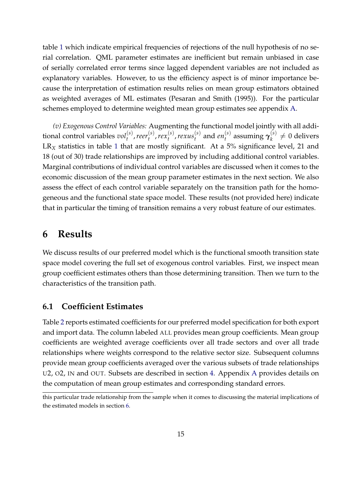table [1](#page-30-0) which indicate empirical frequencies of rejections of the null hypothesis of no serial correlation. QML parameter estimates are inefficient but remain unbiased in case of serially correlated error terms since lagged dependent variables are not included as explanatory variables. However, to us the efficiency aspect is of minor importance because the interpretation of estimation results relies on mean group estimators obtained as weighted averages of ML estimates (Pesaran and Smith (1995)). For the particular schemes employed to determine weighted mean group estimates see appendix [A.](#page-25-0)

*(v) Exogenous Control Variables:* Augmenting the functional model jointly with all addi $t$  tional control variables  $vol_t^{(s)}$ ,  $rec_t^{(s)}$ *t* ,*rex* (*s*)  $t^{(s)}$ , rexus $t^{(s)}$  $t_t^{(s)}$  and  $en_t^{(s)}$ *t* assuming *γ* (*s*)  $k^{(s)} \neq 0$  delivers LR<sub>X</sub> statistics in table [1](#page-30-0) that are mostly significant. At a 5% significance level, 21 and 18 (out of 30) trade relationships are improved by including additional control variables. Marginal contributions of individual control variables are discussed when it comes to the economic discussion of the mean group parameter estimates in the next section. We also assess the effect of each control variable separately on the transition path for the homogeneous and the functional state space model. These results (not provided here) indicate that in particular the timing of transition remains a very robust feature of our estimates.

### <span id="page-17-0"></span>**6 Results**

We discuss results of our preferred model which is the functional smooth transition state space model covering the full set of exogenous control variables. First, we inspect mean group coefficient estimates others than those determining transition. Then we turn to the characteristics of the transition path.

#### **6.1 Coefficient Estimates**

Table [2](#page-31-0) reports estimated coefficients for our preferred model specification for both export and import data. The column labeled ALL provides mean group coefficients. Mean group coefficients are weighted average coefficients over all trade sectors and over all trade relationships where weights correspond to the relative sector size. Subsequent columns provide mean group coefficients averaged over the various subsets of trade relationships U2, O2, IN and OUT. Subsets are described in section [4.](#page-12-0) Appendix [A](#page-25-0) provides details on the computation of mean group estimates and corresponding standard errors.

this particular trade relationship from the sample when it comes to discussing the material implications of the estimated models in section [6.](#page-17-0)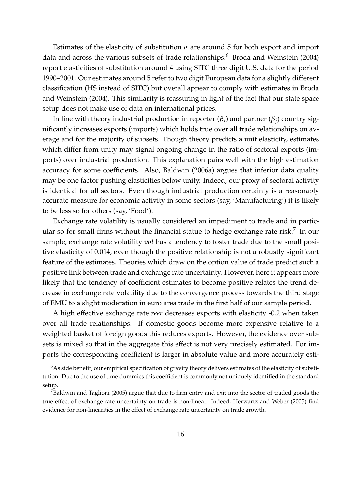Estimates of the elasticity of substitution  $\sigma$  are around 5 for both export and import data and across the various subsets of trade relationships.<sup>6</sup> Broda and Weinstein (2004) report elasticities of substitution around 4 using SITC three digit U.S. data for the period 1990–2001. Our estimates around 5 refer to two digit European data for a slightly different classification (HS instead of SITC) but overall appear to comply with estimates in Broda and Weinstein (2004). This similarity is reassuring in light of the fact that our state space setup does not make use of data on international prices.

In line with theory industrial production in reporter ( $\beta_i$ ) and partner ( $\beta_j$ ) country significantly increases exports (imports) which holds true over all trade relationships on average and for the majority of subsets. Though theory predicts a unit elasticity, estimates which differ from unity may signal ongoing change in the ratio of sectoral exports (imports) over industrial production. This explanation pairs well with the high estimation accuracy for some coefficients. Also, Baldwin (2006a) argues that inferior data quality may be one factor pushing elasticities below unity. Indeed, our proxy of sectoral activity is identical for all sectors. Even though industrial production certainly is a reasonably accurate measure for economic activity in some sectors (say, 'Manufacturing') it is likely to be less so for others (say, 'Food').

Exchange rate volatility is usually considered an impediment to trade and in particular so for small firms without the financial statue to hedge exchange rate risk.<sup>7</sup> In our sample, exchange rate volatility *vol* has a tendency to foster trade due to the small positive elasticity of 0.014, even though the positive relationship is not a robustly significant feature of the estimates. Theories which draw on the option value of trade predict such a positive link between trade and exchange rate uncertainty. However, here it appears more likely that the tendency of coefficient estimates to become positive relates the trend decrease in exchange rate volatility due to the convergence process towards the third stage of EMU to a slight moderation in euro area trade in the first half of our sample period.

A high effective exchange rate *reer* decreases exports with elasticity -0.2 when taken over all trade relationships. If domestic goods become more expensive relative to a weighted basket of foreign goods this reduces exports. However, the evidence over subsets is mixed so that in the aggregate this effect is not very precisely estimated. For imports the corresponding coefficient is larger in absolute value and more accurately esti-

 $6As$  side benefit, our empirical specification of gravity theory delivers estimates of the elasticity of substitution. Due to the use of time dummies this coefficient is commonly not uniquely identified in the standard setup.

<sup>&</sup>lt;sup>7</sup>Baldwin and Taglioni (2005) argue that due to firm entry and exit into the sector of traded goods the true effect of exchange rate uncertainty on trade is non-linear. Indeed, Herwartz and Weber (2005) find evidence for non-linearities in the effect of exchange rate uncertainty on trade growth.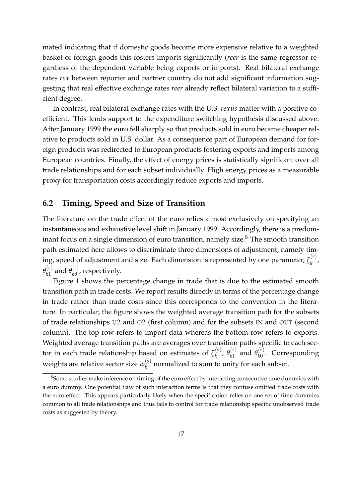mated indicating that if domestic goods become more expensive relative to a weighted basket of foreign goods this fosters imports significantly (*reer* is the same regressor regardless of the dependent variable being exports or imports). Real bilateral exchange rates *rex* between reporter and partner country do not add significant information suggesting that real effective exchange rates *reer* already reflect bilateral variation to a sufficient degree.

In contrast, real bilateral exchange rates with the U.S. *rexus* matter with a positive coefficient. This lends support to the expenditure switching hypothesis discussed above: After January 1999 the euro fell sharply so that products sold in euro became cheaper relative to products sold in U.S. dollar. As a consequence part of European demand for foreign products was redirected to European products fostering exports and imports among European countries. Finally, the effect of energy prices is statistically significant over all trade relationships and for each subset individually. High energy prices as a measurable proxy for transportation costs accordingly reduce exports and imports.

#### **6.2 Timing, Speed and Size of Transition**

The literature on the trade effect of the euro relies almost exclusively on specifying an instantaneous and exhaustive level shift in January 1999. Accordingly, there is a predominant focus on a single dimension of euro transition, namely size.<sup>8</sup> The smooth transition path estimated here allows to discriminate three dimensions of adjustment, namely timing, speed of adjustment and size. Each dimension is represented by one parameter,  $\zeta_k^{(s)}$ *k* ,  $\theta_{k1}^{(s)}$  $\frac{(s)}{k1}$  and  $\theta_{k0}^{(s)}$  $\chi_0^{(s)}$ , respectively.

Figure [1](#page-29-0) shows the percentage change in trade that is due to the estimated smooth transition path in trade costs. We report results directly in terms of the percentage change in trade rather than trade costs since this corresponds to the convention in the literature. In particular, the figure shows the weighted average transition path for the subsets of trade relationships U2 and O2 (first column) and for the subsets IN and OUT (second column). The top row refers to import data whereas the bottom row refers to exports. Weighted average transition paths are averages over transition paths specific to each sector in each trade relationship based on estimates of  $\zeta_k^{(s)}$ <sup>(s)</sup>, θ<sup>(s)</sup><br>k, θ<sub>k1</sub>  $\frac{f(s)}{k1}$  and  $\theta_{k0}^{(s)}$ *k*0 . Corresponding weights are relative sector size  $w_k^{(s)}$  $k<sup>(5)</sup>$  normalized to sum to unity for each subset.

<sup>&</sup>lt;sup>8</sup>Some studies make inference on timing of the euro effect by interacting consecutive time dummies with a euro dummy. One potential flaw of such interaction terms is that they confuse omitted trade costs with the euro effect. This appears particularly likely when the specification relies on one set of time dummies common to all trade relationships and thus fails to control for trade relationship specific unobserved trade costs as suggested by theory.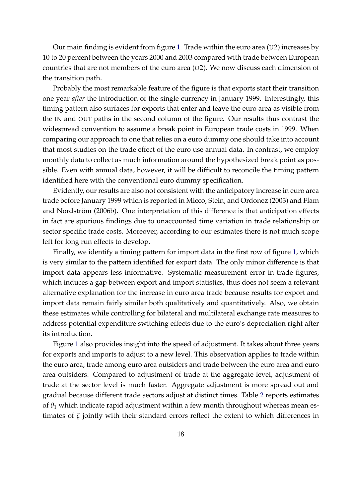Our main finding is evident from figure [1.](#page-29-0) Trade within the euro area  $(U2)$  increases by 10 to 20 percent between the years 2000 and 2003 compared with trade between European countries that are not members of the euro area  $(O2)$ . We now discuss each dimension of the transition path.

Probably the most remarkable feature of the figure is that exports start their transition one year *after* the introduction of the single currency in January 1999. Interestingly, this timing pattern also surfaces for exports that enter and leave the euro area as visible from the IN and OUT paths in the second column of the figure. Our results thus contrast the widespread convention to assume a break point in European trade costs in 1999. When comparing our approach to one that relies on a euro dummy one should take into account that most studies on the trade effect of the euro use annual data. In contrast, we employ monthly data to collect as much information around the hypothesized break point as possible. Even with annual data, however, it will be difficult to reconcile the timing pattern identified here with the conventional euro dummy specification.

Evidently, our results are also not consistent with the anticipatory increase in euro area trade before January 1999 which is reported in Micco, Stein, and Ordonez (2003) and Flam and Nordström (2006b). One interpretation of this difference is that anticipation effects in fact are spurious findings due to unaccounted time variation in trade relationship or sector specific trade costs. Moreover, according to our estimates there is not much scope left for long run effects to develop.

Finally, we identify a timing pattern for import data in the first row of figure [1,](#page-29-0) which is very similar to the pattern identified for export data. The only minor difference is that import data appears less informative. Systematic measurement error in trade figures, which induces a gap between export and import statistics, thus does not seem a relevant alternative explanation for the increase in euro area trade because results for export and import data remain fairly similar both qualitatively and quantitatively. Also, we obtain these estimates while controlling for bilateral and multilateral exchange rate measures to address potential expenditure switching effects due to the euro's depreciation right after its introduction.

Figure [1](#page-29-0) also provides insight into the speed of adjustment. It takes about three years for exports and imports to adjust to a new level. This observation applies to trade within the euro area, trade among euro area outsiders and trade between the euro area and euro area outsiders. Compared to adjustment of trade at the aggregate level, adjustment of trade at the sector level is much faster. Aggregate adjustment is more spread out and gradual because different trade sectors adjust at distinct times. Table [2](#page-31-0) reports estimates of  $\theta_1$  which indicate rapid adjustment within a few month throughout whereas mean estimates of *ζ* jointly with their standard errors reflect the extent to which differences in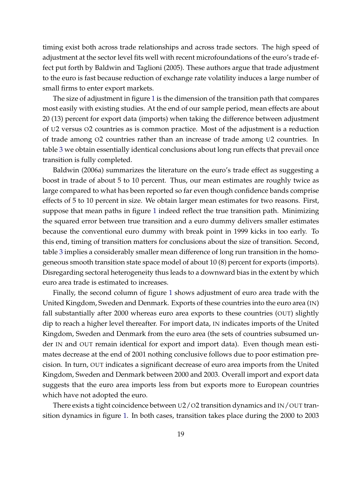timing exist both across trade relationships and across trade sectors. The high speed of adjustment at the sector level fits well with recent microfoundations of the euro's trade effect put forth by Baldwin and Taglioni (2005). These authors argue that trade adjustment to the euro is fast because reduction of exchange rate volatility induces a large number of small firms to enter export markets.

The size of adjustment in figure [1](#page-29-0) is the dimension of the transition path that compares most easily with existing studies. At the end of our sample period, mean effects are about 20 (13) percent for export data (imports) when taking the difference between adjustment of U2 versus O2 countries as is common practice. Most of the adjustment is a reduction of trade among O2 countries rather than an increase of trade among U2 countries. In table [3](#page-32-0) we obtain essentially identical conclusions about long run effects that prevail once transition is fully completed.

Baldwin (2006a) summarizes the literature on the euro's trade effect as suggesting a boost in trade of about 5 to 10 percent. Thus, our mean estimates are roughly twice as large compared to what has been reported so far even though confidence bands comprise effects of 5 to 10 percent in size. We obtain larger mean estimates for two reasons. First, suppose that mean paths in figure [1](#page-29-0) indeed reflect the true transition path. Minimizing the squared error between true transition and a euro dummy delivers smaller estimates because the conventional euro dummy with break point in 1999 kicks in too early. To this end, timing of transition matters for conclusions about the size of transition. Second, table [3](#page-32-0) implies a considerably smaller mean difference of long run transition in the homogeneous smooth transition state space model of about 10 (8) percent for exports (imports). Disregarding sectoral heterogeneity thus leads to a downward bias in the extent by which euro area trade is estimated to increases.

Finally, the second column of figure [1](#page-29-0) shows adjustment of euro area trade with the United Kingdom, Sweden and Denmark. Exports of these countries into the euro area (IN) fall substantially after 2000 whereas euro area exports to these countries (OUT) slightly dip to reach a higher level thereafter. For import data, IN indicates imports of the United Kingdom, Sweden and Denmark from the euro area (the sets of countries subsumed under IN and OUT remain identical for export and import data). Even though mean estimates decrease at the end of 2001 nothing conclusive follows due to poor estimation precision. In turn, OUT indicates a significant decrease of euro area imports from the United Kingdom, Sweden and Denmark between 2000 and 2003. Overall import and export data suggests that the euro area imports less from but exports more to European countries which have not adopted the euro.

There exists a tight coincidence between U2/O2 transition dynamics and IN/OUT transition dynamics in figure [1.](#page-29-0) In both cases, transition takes place during the 2000 to 2003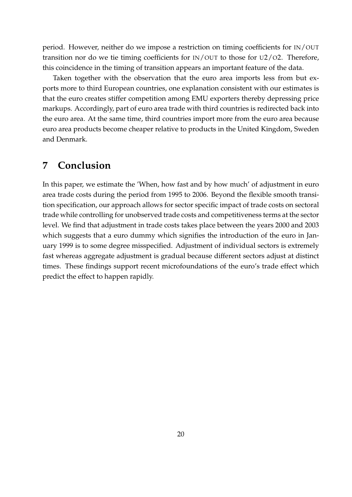period. However, neither do we impose a restriction on timing coefficients for IN/OUT transition nor do we tie timing coefficients for IN/OUT to those for U2/O2. Therefore, this coincidence in the timing of transition appears an important feature of the data.

Taken together with the observation that the euro area imports less from but exports more to third European countries, one explanation consistent with our estimates is that the euro creates stiffer competition among EMU exporters thereby depressing price markups. Accordingly, part of euro area trade with third countries is redirected back into the euro area. At the same time, third countries import more from the euro area because euro area products become cheaper relative to products in the United Kingdom, Sweden and Denmark.

### **7 Conclusion**

In this paper, we estimate the 'When, how fast and by how much' of adjustment in euro area trade costs during the period from 1995 to 2006. Beyond the flexible smooth transition specification, our approach allows for sector specific impact of trade costs on sectoral trade while controlling for unobserved trade costs and competitiveness terms at the sector level. We find that adjustment in trade costs takes place between the years 2000 and 2003 which suggests that a euro dummy which signifies the introduction of the euro in January 1999 is to some degree misspecified. Adjustment of individual sectors is extremely fast whereas aggregate adjustment is gradual because different sectors adjust at distinct times. These findings support recent microfoundations of the euro's trade effect which predict the effect to happen rapidly.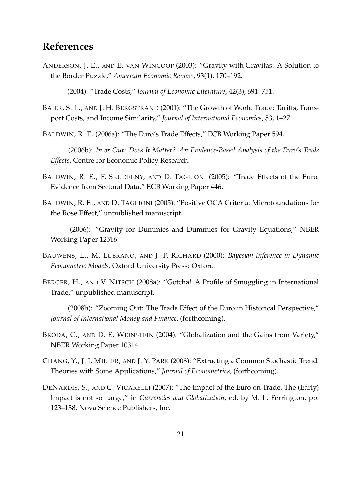### **References**

- ANDERSON, J. E., AND E. VAN WINCOOP (2003): "Gravity with Gravitas: A Solution to the Border Puzzle," *American Economic Review*, 93(1), 170–192.
- (2004): "Trade Costs," *Journal of Economic Literature*, 42(3), 691–751.
- BAIER, S. L., AND J. H. BERGSTRAND (2001): "The Growth of World Trade: Tariffs, Transport Costs, and Income Similarity," *Journal of International Economics*, 53, 1–27.

BALDWIN, R. E. (2006a): "The Euro's Trade Effects," ECB Working Paper 594.

- (2006b): *In or Out: Does It Matter? An Evidence-Based Analysis of the Euro's Trade Effects*. Centre for Economic Policy Research.
- BALDWIN, R. E., F. SKUDELNY, AND D. TAGLIONI (2005): "Trade Effects of the Euro: Evidence from Sectoral Data," ECB Working Paper 446.
- BALDWIN, R. E., AND D. TAGLIONI (2005): "Positive OCA Criteria: Microfoundations for the Rose Effect," unpublished manuscript.
- (2006): "Gravity for Dummies and Dummies for Gravity Equations," NBER Working Paper 12516.
- BAUWENS, L., M. LUBRANO, AND J.-F. RICHARD (2000): *Bayesian Inference in Dynamic Econometric Models*. Oxford University Press: Oxford.
- BERGER, H., AND V. NITSCH (2008a): "Gotcha! A Profile of Smuggling in International Trade," unpublished manuscript.
- (2008b): "Zooming Out: The Trade Effect of the Euro in Historical Perspective," *Journal of International Money and Finance*, (forthcoming).
- BRODA, C., AND D. E. WEINSTEIN (2004): "Globalization and the Gains from Variety," NBER Working Paper 10314.
- CHANG, Y., J. I. MILLER, AND J. Y. PARK (2008): "Extracting a Common Stochastic Trend: Theories with Some Applications," *Journal of Econometrics*, (forthcoming).
- DENARDIS, S., AND C. VICARELLI (2007): "The Impact of the Euro on Trade. The (Early) Impact is not so Large," in *Currencies and Globalization*, ed. by M. L. Ferrington, pp. 123–138. Nova Science Publishers, Inc.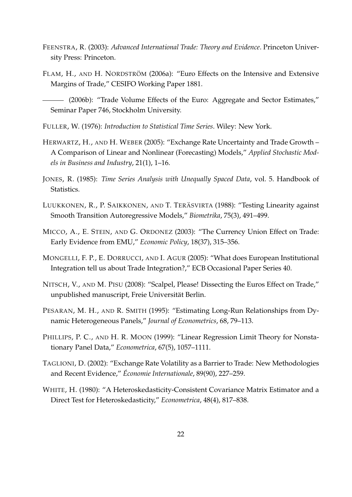- FEENSTRA, R. (2003): *Advanced International Trade: Theory and Evidence*. Princeton University Press: Princeton.
- FLAM, H., AND H. NORDSTRÖM (2006a): "Euro Effects on the Intensive and Extensive Margins of Trade," CESIFO Working Paper 1881.

(2006b): "Trade Volume Effects of the Euro: Aggregate and Sector Estimates," Seminar Paper 746, Stockholm University.

- FULLER, W. (1976): *Introduction to Statistical Time Series*. Wiley: New York.
- HERWARTZ, H., AND H. WEBER (2005): "Exchange Rate Uncertainty and Trade Growth A Comparison of Linear and Nonlinear (Forecasting) Models," *Applied Stochastic Models in Business and Industry*, 21(1), 1–16.
- JONES, R. (1985): *Time Series Analysis with Unequally Spaced Data*, vol. 5. Handbook of Statistics.
- LUUKKONEN, R., P. SAIKKONEN, AND T. TERÄSVIRTA (1988): "Testing Linearity against Smooth Transition Autoregressive Models," *Biometrika*, 75(3), 491–499.
- MICCO, A., E. STEIN, AND G. ORDONEZ (2003): "The Currency Union Effect on Trade: Early Evidence from EMU," *Economic Policy*, 18(37), 315–356.
- MONGELLI, F. P., E. DORRUCCI, AND I. AGUR (2005): "What does European Institutional Integration tell us about Trade Integration?," ECB Occasional Paper Series 40.
- NITSCH, V., AND M. PISU (2008): "Scalpel, Please! Dissecting the Euros Effect on Trade," unpublished manuscript, Freie Universität Berlin.
- PESARAN, M. H., AND R. SMITH (1995): "Estimating Long-Run Relationships from Dynamic Heterogeneous Panels," *Journal of Econometrics*, 68, 79–113.
- PHILLIPS, P. C., AND H. R. MOON (1999): "Linear Regression Limit Theory for Nonstationary Panel Data," *Econometrica*, 67(5), 1057–1111.
- TAGLIONI, D. (2002): "Exchange Rate Volatility as a Barrier to Trade: New Methodologies and Recent Evidence," Économie Internationale, 89(90), 227–259.
- WHITE, H. (1980): "A Heteroskedasticity-Consistent Covariance Matrix Estimator and a Direct Test for Heteroskedasticity," *Econometrica*, 48(4), 817–838.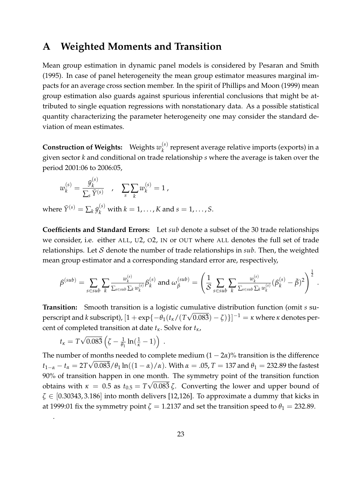### <span id="page-25-0"></span>**A Weighted Moments and Transition**

Mean group estimation in dynamic panel models is considered by Pesaran and Smith (1995). In case of panel heterogeneity the mean group estimator measures marginal impacts for an average cross section member. In the spirit of Phillips and Moon (1999) mean group estimation also guards against spurious inferential conclusions that might be attributed to single equation regressions with nonstationary data. As a possible statistical quantity characterizing the parameter heterogeneity one may consider the standard deviation of mean estimates.

**Construction of Weights:** Weights *w* (*s*) *k* represent average relative imports (exports) in a given sector *k* and conditional on trade relationship *s* where the average is taken over the period 2001:06 to 2006:05,

$$
w_k^{(s)} = \frac{\bar{y}_k^{(s)}}{\sum_s \bar{Y}^{(s)}} , \quad \sum_s \sum_k w_k^{(s)} = 1 ,
$$

where  $\bar{Y}^{(s)} = \sum_k \bar{y}_k^{(s)}$  with  $k = 1, \ldots, K$  and  $s = 1, \ldots, S$ .

**Coefficients and Standard Errors:** Let *sub* denote a subset of the 30 trade relationships we consider, i.e. either ALL, U2, O2, IN or OUT where ALL denotes the full set of trade relationships. Let S denote the number of trade relationships in *sub*. Then, the weighted mean group estimator and a corresponding standard error are, respectively,

$$
\beta^{(sub)} = \sum_{s \in sub} \sum_{k} \frac{w_k^{(s)}}{\sum_{s \in sub} \sum_k w_k^{(s)}} \beta_k^{(s)} \text{ and } \omega_\beta^{(sub)} = \left(\frac{1}{S} \sum_{s \in sub} \sum_{k} \frac{w_k^{(s)}}{\sum_{s \in sub} \sum_k w_k^{(s)}} (\beta_k^{(s)} - \overline{\beta})^2\right)^{\frac{1}{2}}.
$$

1

**Transition:** Smooth transition is a logistic cumulative distribution function (omit *s* su- $\text{perscript}$  and  $k$  subscript),  $[1+\exp\{-\theta_1(t_\kappa/(T\sqrt{0.083})-\zeta)\}]^{-1} = \kappa$  where  $\kappa$  denotes percent of completed transition at date *tκ*. Solve for *tκ*,

$$
t_{\kappa} = T\sqrt{0.083} \left( \zeta - \frac{1}{\theta_1} \ln(\frac{1}{\kappa} - 1) \right) \, .
$$

.

The number of months needed to complete medium  $(1 - 2\alpha)$ % transition is the difference  $t_{1-\alpha}-t_\alpha=2T\sqrt{0.083}/\theta_1\ln((1-\alpha)/\alpha).$  With  $\alpha=.05$ ,  $T=137$  and  $\theta_1=232.89$  the fastest 90% of transition happen in one month. The symmetry point of the transition function obtains with  $κ = 0.5$  as  $t_{0.5} = T\sqrt{0.083} \zeta$ . Converting the lower and upper bound of *ζ* ∈ [0.30343, 3.186] into month delivers [12,126]. To approximate a dummy that kicks in at 1999:01 fix the symmetry point  $\zeta = 1.2137$  and set the transition speed to  $\theta_1 = 232.89$ .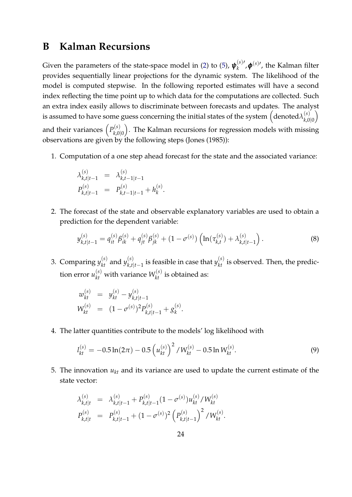### <span id="page-26-0"></span>**B Kalman Recursions**

Given the parameters of the state-space model in [\(2\)](#page-8-0) to [\(5\)](#page-8-0),  $\boldsymbol{\psi}_k^{(s)\prime}$  $k^{(s)}$ ,  $\phi^{(s)}$ , the Kalman filter provides sequentially linear projections for the dynamic system. The likelihood of the model is computed stepwise. In the following reported estimates will have a second index reflecting the time point up to which data for the computations are collected. Such an extra index easily allows to discriminate between forecasts and updates. The analyst is assumed to have some guess concerning the initial states of the system  $\Big(\mathrm{denoted}\lambda_{k,0}^{(s)}\Big)$ *k*,0|0  $\setminus$ and their variances  $\left(P_{k,0}^{(s)}\right)$ *k*,0|0 . The Kalman recursions for regression models with missing observations are given by the following steps (Jones (1985)):

1. Computation of a one step ahead forecast for the state and the associated variance:

$$
\lambda_{k,t|t-1}^{(s)} = \lambda_{k,t-1|t-1}^{(s)}
$$
  
\n
$$
P_{k,t|t-1}^{(s)} = P_{k,t-1|t-1}^{(s)} + h_k^{(s)}
$$

2. The forecast of the state and observable explanatory variables are used to obtain a prediction for the dependent variable:

<span id="page-26-1"></span>.

$$
y_{k,t|t-1}^{(s)} = q_{it}^{(s)} \beta_{ik}^{(s)} + q_{jt}^{(s)} \beta_{jk}^{(s)} + (1 - \sigma^{(s)}) \left( \ln(\tau_{k,t}^{(s)}) + \lambda_{k,t|t-1}^{(s)} \right). \tag{8}
$$

3. Comparing  $y_{kt}^{(s)}$  and  $y_{k,t}^{(s)}$  $\mathbf{R}_{k,t|t-1}^{(s)}$  is feasible in case that  $y_{kt}^{(s)}$  is observed. Then, the prediction error  $u_{kt}^{(s)}$  with variance  $W_{kt}^{(s)}$  is obtained as:

$$
w_{kt}^{(s)} = y_{kt}^{(s)} - y_{k,t|t-1}^{(s)}
$$
  
\n
$$
W_{kt}^{(s)} = (1 - \sigma^{(s)})^2 P_{k,t|t-1}^{(s)} + g_k^{(s)}.
$$

4. The latter quantities contribute to the models' log likelihood with

$$
l_{kt}^{(s)} = -0.5 \ln(2\pi) - 0.5 \left( u_{kt}^{(s)} \right)^2 / W_{kt}^{(s)} - 0.5 \ln W_{kt}^{(s)}.
$$
\n(9)

5. The innovation *ukt* and its variance are used to update the current estimate of the state vector:

$$
\lambda_{k,t|t}^{(s)} = \lambda_{k,t|t-1}^{(s)} + P_{k,t|t-1}^{(s)} (1 - \sigma^{(s)}) u_{kt}^{(s)} / W_{kt}^{(s)}
$$
  
\n
$$
P_{k,t|t}^{(s)} = P_{k,t|t-1}^{(s)} + (1 - \sigma^{(s)})^2 \left( P_{k,t|t-1}^{(s)} \right)^2 / W_{kt}^{(s)}.
$$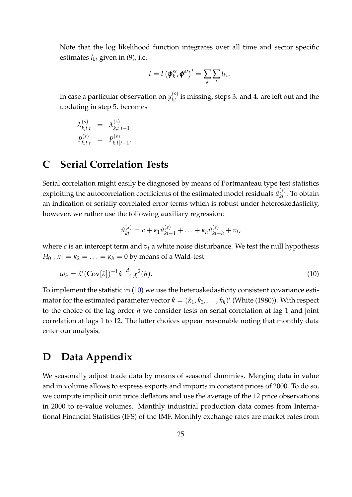Note that the log likelihood function integrates over all time and sector specific estimates  $l_{kt}$  given in [\(9\)](#page-26-1), i.e.

$$
l = l \left(\boldsymbol{\psi}_{k}^{s\prime}, \boldsymbol{\phi}^{s\prime}\right)^{\prime} = \sum_{k} \sum_{t} l_{kt}.
$$

In case a particular observation on  $y_{kt}^{(s)}$  is missing, steps 3. and 4. are left out and the updating in step 5. becomes

$$
\lambda_{k,t|t}^{(s)} = \lambda_{k,t|t-1}^{(s)}
$$
  

$$
P_{k,t|t}^{(s)} = P_{k,t|t-1}^{(s)}
$$

### <span id="page-27-1"></span>**C Serial Correlation Tests**

Serial correlation might easily be diagnosed by means of Portmanteau type test statistics exploiting the autocorrelation coefficients of the estimated model residuals  $\hat{u}_{kt}^{(s)}$ . To obtain an indication of serially correlated error terms which is robust under heteroskedasticity, however, we rather use the following auxiliary regression:

<span id="page-27-2"></span>
$$
\hat{u}_{kt}^{(s)} = c + \kappa_1 \hat{u}_{kt-1}^{(s)} + \ldots + \kappa_h \hat{u}_{kt-h}^{(s)} + v_t,
$$

where *c* is an intercept term and  $v_t$  a white noise disturbance. We test the null hypothesis  $H_0: \kappa_1 = \kappa_2 = \ldots = \kappa_h = 0$  by means of a Wald-test

$$
\omega_h = \hat{\kappa}' (\text{Cov}[\hat{\kappa}])^{-1} \hat{\kappa} \stackrel{d}{\rightarrow} \chi^2(h). \tag{10}
$$

To implement the statistic in [\(10\)](#page-27-2) we use the heteroskedasticity consistent covariance estimator for the estimated parameter vector  $\hat{\kappa} = (\hat{\kappa}_1, \hat{\kappa}_2, \ldots, \hat{\kappa}_h)'$  (White (1980)). With respect to the choice of the lag order *h* we consider tests on serial correlation at lag 1 and joint correlation at lags 1 to 12. The latter choices appear reasonable noting that monthly data enter our analysis.

### <span id="page-27-0"></span>**D Data Appendix**

We seasonally adjust trade data by means of seasonal dummies. Merging data in value and in volume allows to express exports and imports in constant prices of 2000. To do so, we compute implicit unit price deflators and use the average of the 12 price observations in 2000 to re-value volumes. Monthly industrial production data comes from International Financial Statistics (IFS) of the IMF. Monthly exchange rates are market rates from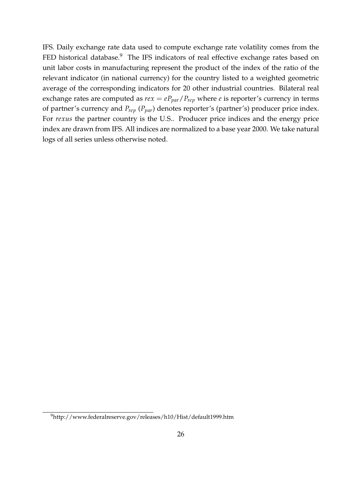IFS. Daily exchange rate data used to compute exchange rate volatility comes from the FED historical database.<sup>9</sup> The IFS indicators of real effective exchange rates based on unit labor costs in manufacturing represent the product of the index of the ratio of the relevant indicator (in national currency) for the country listed to a weighted geometric average of the corresponding indicators for 20 other industrial countries. Bilateral real exchange rates are computed as  $re x = e P_{par}/P_{rep}$  where *e* is reporter's currency in terms of partner's currency and *Prep* (*Ppar*) denotes reporter's (partner's) producer price index. For *rexus* the partner country is the U.S.. Producer price indices and the energy price index are drawn from IFS. All indices are normalized to a base year 2000. We take natural logs of all series unless otherwise noted.

<sup>9</sup>http://www.federalreserve.gov/releases/h10/Hist/default1999.htm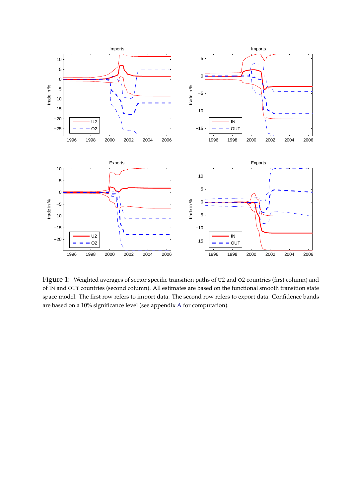

<span id="page-29-0"></span>Figure 1: Weighted averages of sector specific transition paths of <sup>U</sup>2 and <sup>O</sup>2 countries (first column) and of IN and OUT countries (second column). All estimates are based on the functional smooth transition state space model. The first row refers to import data. The second row refers to export data. Confidence bands are based on a 10% significance level (see appendix [A](#page-25-0) for computation).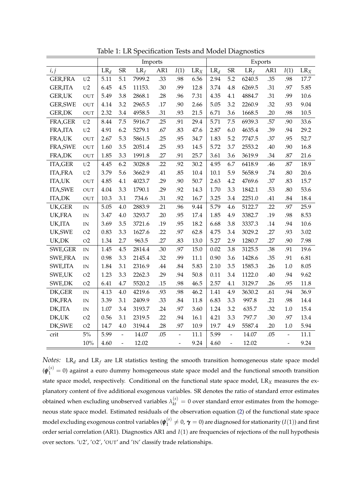|                 |                          | Imports |                |        |     |                          | Exports |        |                |        |     |                          |        |
|-----------------|--------------------------|---------|----------------|--------|-----|--------------------------|---------|--------|----------------|--------|-----|--------------------------|--------|
| i, j            |                          | $LR_d$  | SR             | $LR_f$ | AR1 | I(1)                     | $LR_X$  | $LR_d$ | <b>SR</b>      | $LR_f$ | AR1 | I(1)                     | $LR_X$ |
| <b>GER,FRA</b>  | U <sub>2</sub>           | 5.11    | 5.1            | 7999.2 | .33 | .98                      | 6.56    | 2.94   | 5.2            | 6240.5 | .35 | .98                      | 17.7   |
| <b>GER,ITA</b>  | U <sub>2</sub>           | 6.45    | 4.5            | 11153. | .30 | .99                      | 12.8    | 3.74   | 4.8            | 6269.5 | .31 | .97                      | 5.85   |
| <b>GER,UK</b>   | OUT                      | 5.49    | 3.8            | 2868.1 | .28 | .96                      | 7.31    | 4.35   | 4.1            | 4884.7 | .31 | .99                      | 10.6   |
| <b>GER, SWE</b> | OUT                      | 4.14    | 3.2            | 2965.5 | .17 | .90                      | 2.66    | 5.05   | 3.2            | 2260.9 | .32 | .93                      | 9.04   |
| <b>GER,DK</b>   | <b>OUT</b>               | 2.32    | 3.4            | 4958.5 | .31 | .93                      | 21.5    | 6.71   | 3.6            | 1668.5 | .20 | .98                      | $10.5$ |
| FRA, GER        | U <sub>2</sub>           | 8.44    | 7.5            | 5916.7 | .25 | .91                      | 29.4    | 5.71   | 7.5            | 6939.3 | .57 | .90                      | 33.6   |
| FRA, ITA        | $_{\rm U2}$              | 4.91    | 6.2            | 5279.1 | .67 | .83                      | 47.6    | 2.87   | 6.0            | 4635.4 | .39 | .94                      | 29.2   |
| FRA,UK          | OUT                      | 2.67    | 5.3            | 5861.5 | .25 | .95                      | 34.7    | 1.83   | 5.2            | 7747.5 | .37 | .95                      | 52.7   |
| FRA, SWE        | <b>OUT</b>               | 1.60    | 3.5            | 2051.4 | .25 | .93                      | 14.5    | 5.72   | 3.7            | 2553.2 | .40 | .90                      | 16.8   |
| FRA,DK          | <b>OUT</b>               | 1.85    | 3.3            | 1991.8 | .27 | .91                      | 25.7    | 3.61   | 3.6            | 3619.9 | .34 | .87                      | 21.6   |
| <b>ITA,GER</b>  | U <sub>2</sub>           | 4.45    | 6.2            | 3028.8 | .22 | .92                      | 30.2    | 4.95   | 6.7            | 6418.9 | .46 | .87                      | 18.9   |
| <b>ITA,FRA</b>  | U <sub>2</sub>           | 3.79    | 5.6            | 3662.9 | .41 | .85                      | 10.4    | 10.1   | 5.9            | 5658.9 | .74 | .80                      | 20.6   |
| <b>ITA,UK</b>   | OUT                      | 4.85    | 4.1            | 4023.7 | .29 | .90                      | 50.7    | 2.63   | 4.2            | 4769.6 | .37 | .83                      | 15.7   |
| <b>ITA,SWE</b>  | <b>OUT</b>               | 4.04    | 3.3            | 1790.1 | .29 | .92                      | 14.3    | 1.70   | 3.3            | 1842.1 | .53 | .80                      | 53.6   |
| <b>ITA,DK</b>   | <b>OUT</b>               | 10.3    | 3.1            | 734.6  | .31 | .92                      | 16.7    | 3.25   | 3.4            | 2251.0 | .41 | .84                      | 18.4   |
| UK, GER         | IN                       | 5.05    | 4.0            | 2883.9 | .21 | .96                      | 9.44    | 5.79   | 4.6            | 5122.7 | .22 | .97                      | 25.9   |
| UK,FRA          | $\text{IN}{}$            | 3.47    | 4.0            | 3293.7 | .20 | .95                      | 17.4    | 1.85   | 4.9            | 3382.7 | .19 | .98                      | 8.53   |
| UK,ITA          | $\rm{IN}$                | 3.69    | 3.5            | 3721.6 | .19 | .95                      | 18.2    | 6.68   | 3.8            | 3337.3 | .14 | .94                      | 10.6   |
| UK, SWE         | O <sub>2</sub>           | 0.83    | 3.3            | 1627.6 | .22 | .97                      | 62.8    | 4.75   | 3.4            | 3029.2 | .27 | .93                      | 3.02   |
| UK,DK           | O <sub>2</sub>           | 1.34    | 2.7            | 963.5  | .27 | .83                      | 13.0    | 5.27   | 2.9            | 1280.7 | .27 | .90                      | 7.98   |
| SWE, GER        | $\ensuremath{\text{IN}}$ | 1.45    | 4.5            | 2814.4 | .30 | .97                      | 15.0    | 0.02   | 3.8            | 3125.5 | .38 | .91                      | 19.6   |
| SWE,FRA         | IN                       | 0.98    | 3.3            | 2145.4 | .32 | .99                      | 11.1    | 0.90   | 3.6            | 1428.6 | .35 | .91                      | 6.81   |
| SWE,ITA         | IN                       | 1.84    | 3.1            | 2316.9 | .44 | .84                      | 5.83    | 2.10   | 3.5            | 1585.3 | .26 | 1.0                      | 8.05   |
| SWE,UK          | O <sub>2</sub>           | 1.23    | 3.3            | 2262.3 | .29 | .94                      | 50.8    | 0.11   | 3.4            | 1122.0 | .40 | .94                      | 9.62   |
| SWE,DK          | O <sub>2</sub>           | 6.41    | 4.7            | 5520.2 | .15 | .98                      | 46.5    | 2.57   | 4.1            | 3129.7 | .26 | .95                      | 11.8   |
| DK, GER         | IN                       | 4.13    | 4.0            | 4219.6 | .93 | .98                      | 46.2    | 1.41   | 4.9            | 3630.2 | .61 | .94                      | 36.9   |
| DK,FRA          | $\rm{IN}$                | 3.39    | 3.1            | 2409.9 | .33 | .84                      | 11.8    | 6.83   | 3.3            | 997.8  | .21 | .98                      | 14.4   |
| DK, ITA         | $\rm{IN}$                | 1.07    | 3.4            | 3193.7 | .24 | .97                      | 3.60    | 1.24   | 3.2            | 635.7  | .32 | 1.0                      | 15.4   |
| DK,UK           | O <sub>2</sub>           | 0.56    | 3.1            | 2319.5 | .22 | .94                      | 16.1    | 4.21   | 3.3            | 797.7  | .30 | .97                      | 13.4   |
| DK, SWE         | O <sub>2</sub>           | 14.7    | 4.0            | 3194.4 | .28 | .97                      | 10.9    | 19.7   | 4.9            | 5587.4 | .20 | 1.0                      | 5.94   |
| crit            | $5\%$                    | 5.99    | $\frac{1}{2}$  | 14.07  | .05 | $\overline{\phantom{a}}$ | 11.1    | 5.99   | $\frac{1}{2}$  | 14.07  | .05 | $\overline{\phantom{a}}$ | 11.1   |
|                 | $10\%$                   | 4.60    | $\overline{a}$ | 12.02  |     | $\overline{a}$           | 9.24    | 4.60   | $\overline{a}$ | 12.02  |     | $\overline{a}$           | 9.24   |

<span id="page-30-0"></span>Table 1: LR Specification Tests and Model Diagnostics

*Notes:*  $LR_d$  and  $LR_f$  are  $LR$  statistics testing the smooth transition homogeneous state space model  $(\pmb{\psi}_1^{(s)}=0)$  against a euro dummy homogeneous state space model and the functional smooth transition state space model, respectively. Conditional on the functional state space model, LR<sub>X</sub> measures the explanatory content of five additional exogenous variables. SR denotes the ratio of standard error estimates obtained when excluding unobserved variables  $\lambda_{kt}^{(s)} = 0$  over standard error estimates from the homogeneous state space model. Estimated residuals of the observation equation [\(2\)](#page-8-0) of the functional state space model excluding exogenous control variables (*ψ* (*s*)  $\mathcal{L}_1^{(s)} \neq 0$ ,  $\pmb{\gamma} = 0$ ) are diagnosed for stationarity (*I*(1)) and first order serial correlation (AR1). Diagnostics AR1 and *I*(1) are frequencies of rejections of the null hypothesis over sectors. 'U2', 'O2', 'OUT' and 'IN' classify trade relationships.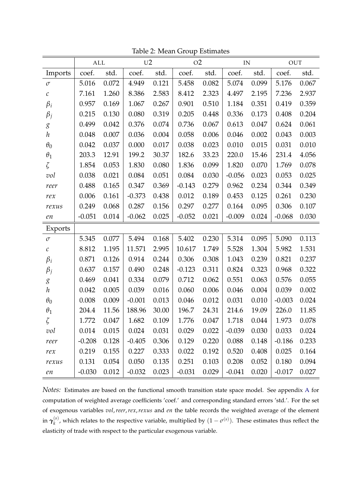|                     | ALL      |       | U <sub>2</sub> |       | O <sub>2</sub> |       | IN       |       | <b>OUT</b> |       |
|---------------------|----------|-------|----------------|-------|----------------|-------|----------|-------|------------|-------|
| Imports             | coef.    | std.  | coef.          | std.  | coef.          | std.  | coef.    | std.  | coef.      | std.  |
| $\sigma$            | 5.016    | 0.072 | 4.949          | 0.121 | 5.458          | 0.082 | 5.074    | 0.099 | 5.176      | 0.067 |
| $\mathcal C$        | 7.161    | 1.260 | 8.386          | 2.583 | 8.412          | 2.323 | 4.497    | 2.195 | 7.236      | 2.937 |
| $\beta_i$           | 0.957    | 0.169 | 1.067          | 0.267 | 0.901          | 0.510 | 1.184    | 0.351 | 0.419      | 0.359 |
| $\beta_j$           | 0.215    | 0.130 | 0.080          | 0.319 | 0.205          | 0.448 | 0.336    | 0.173 | 0.408      | 0.204 |
| $\mathcal{E}% _{0}$ | 0.499    | 0.042 | 0.376          | 0.074 | 0.736          | 0.067 | 0.613    | 0.047 | 0.624      | 0.061 |
| $\boldsymbol{h}$    | 0.048    | 0.007 | 0.036          | 0.004 | 0.058          | 0.006 | 0.046    | 0.002 | 0.043      | 0.003 |
| $\theta_0$          | 0.042    | 0.037 | 0.000          | 0.017 | 0.038          | 0.023 | 0.010    | 0.015 | 0.031      | 0.010 |
| $\theta_1$          | 203.3    | 12.91 | 199.2          | 30.37 | 182.6          | 33.23 | 220.0    | 15.46 | 231.4      | 4.056 |
| $\zeta$             | 1.854    | 0.053 | 1.830          | 0.080 | 1.836          | 0.099 | 1.820    | 0.070 | 1.769      | 0.078 |
| vol                 | 0.038    | 0.021 | 0.084          | 0.051 | 0.084          | 0.030 | $-0.056$ | 0.023 | 0.053      | 0.025 |
| reer                | 0.488    | 0.165 | 0.347          | 0.369 | $-0.143$       | 0.279 | 0.962    | 0.234 | 0.344      | 0.349 |
| rex                 | 0.006    | 0.161 | $-0.373$       | 0.438 | 0.012          | 0.189 | 0.453    | 0.125 | 0.261      | 0.230 |
| rexus               | 0.249    | 0.068 | 0.287          | 0.156 | 0.297          | 0.277 | 0.164    | 0.095 | 0.306      | 0.107 |
| en                  | $-0.051$ | 0.014 | $-0.062$       | 0.025 | $-0.052$       | 0.021 | $-0.009$ | 0.024 | $-0.068$   | 0.030 |
| Exports             |          |       |                |       |                |       |          |       |            |       |
| $\sigma$            | 5.345    | 0.077 | 5.494          | 0.168 | 5.402          | 0.230 | 5.314    | 0.095 | 5.090      | 0.113 |
| $\mathcal C$        | 8.812    | 1.195 | 11.571         | 2.995 | 10.617         | 1.749 | 5.528    | 1.304 | 5.982      | 1.531 |
| $\beta_i$           | 0.871    | 0.126 | 0.914          | 0.244 | 0.306          | 0.308 | 1.043    | 0.239 | 0.821      | 0.237 |
| $\beta_j$           | 0.637    | 0.157 | 0.490          | 0.248 | $-0.123$       | 0.311 | 0.824    | 0.323 | 0.968      | 0.322 |
| $\mathcal{E}% _{0}$ | 0.469    | 0.041 | 0.334          | 0.079 | 0.712          | 0.062 | 0.551    | 0.063 | 0.576      | 0.055 |
| $\boldsymbol{h}$    | 0.042    | 0.005 | 0.039          | 0.016 | 0.060          | 0.006 | 0.046    | 0.004 | 0.039      | 0.002 |
| $\theta_0$          | 0.008    | 0.009 | $-0.001$       | 0.013 | 0.046          | 0.012 | 0.031    | 0.010 | $-0.003$   | 0.024 |
| $\theta_1$          | 204.4    | 11.56 | 188.96         | 30.00 | 196.7          | 24.31 | 214.6    | 19.09 | 226.0      | 11.85 |
| $\zeta$             | 1.772    | 0.047 | 1.682          | 0.109 | 1.776          | 0.047 | 1.718    | 0.044 | 1.973      | 0.078 |
| vol                 | 0.014    | 0.015 | 0.024          | 0.031 | 0.029          | 0.022 | $-0.039$ | 0.030 | 0.033      | 0.024 |
| reer                | $-0.208$ | 0.128 | $-0.405$       | 0.306 | 0.129          | 0.220 | 0.088    | 0.148 | $-0.186$   | 0.233 |
| rex                 | 0.219    | 0.155 | 0.227          | 0.333 | 0.022          | 0.192 | 0.520    | 0.408 | 0.025      | 0.164 |
| rexus               | 0.131    | 0.054 | 0.050          | 0.135 | 0.251          | 0.103 | 0.208    | 0.052 | 0.180      | 0.094 |
| $\emph{en}$         | $-0.030$ | 0.012 | $-0.032$       | 0.023 | $-0.031$       | 0.029 | $-0.041$ | 0.020 | $-0.017$   | 0.027 |

<span id="page-31-0"></span>Table 2: Mean Group Estimates

*Notes:* Estimates are based on the functional smooth transition state space model. See appendix [A](#page-25-0) for computation of weighted average coefficients 'coef.' and corresponding standard errors 'std.'. For the set of exogenous variables *vol*,*reer*,*rex*,*rexus* and *en* the table records the weighted average of the element  $\text{in }\boldsymbol{\gamma}_k^{(s)}$  $\binom{s}{k}$ , which relates to the respective variable, multiplied by  $(1 - \sigma^{(s)})$ . These estimates thus reflect the elasticity of trade with respect to the particular exogenous variable.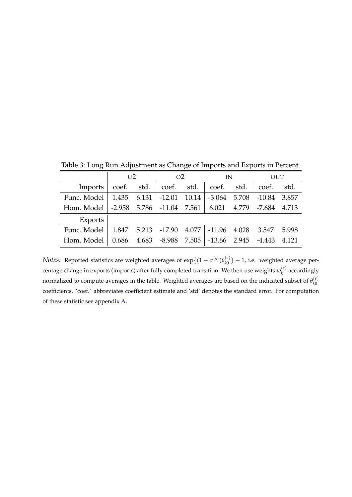|             | U <sub>2</sub> |             | O <sub>2</sub> |       | IN               |       | OUT      |       |
|-------------|----------------|-------------|----------------|-------|------------------|-------|----------|-------|
| Imports     | coef.          | std.        | coef.          | std.  | coef.            | std.  | coef.    | std.  |
| Func. Model | 1.435 6.131    |             | $-12.01$       | 10.14 | $-3.064$ 5.708   |       | $-10.84$ | 3.857 |
| Hom. Model  | $-2.958$ 5.786 |             | $-11.04$ 7.561 |       | 6.021            | 4.779 | $-7.684$ | 4.713 |
| Exports     |                |             |                |       |                  |       |          |       |
| Func. Model |                | 1.847 5.213 | -17.90         | 4.077 | $-11.96$ $4.028$ |       | 3.547    | 5.998 |
| Hom. Model  | 0.686          | 4.683       | $-8.988$       | 7.505 | $-13.66$         | 2.945 | $-4.443$ | 4.121 |

<span id="page-32-0"></span>Table 3: Long Run Adjustment as Change of Imports and Exports in Percent

*Notes:* Reported statistics are weighted averages of  $\exp\{(1 - \sigma^{(s)})\theta_{k0}^{(s)}\}$  $\begin{bmatrix} (s) \\ k0 \end{bmatrix}$  – 1, i.e. weighted average percentage change in exports (imports) after fully completed transition. We then use weights  $w_k^{(s)}$  $\alpha_k^{(s)}$  accordingly normalized to compute averages in the table. Weighted averages are based on the indicated subset of  $\theta_{k0}^{(s)}$ *k*0 coefficients. 'coef.' abbreviates coefficient estimate and 'std' denotes the standard error. For computation of these statistic see appendix [A.](#page-25-0)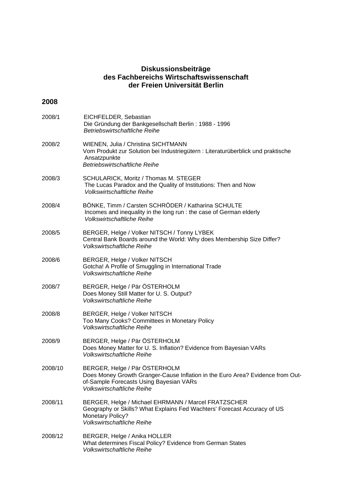#### **Diskussionsbeiträge des Fachbereichs Wirtschaftswissenschaft der Freien Universität Berlin**

#### **2008**

| 2008/1  | EICHFELDER, Sebastian<br>Die Gründung der Bankgesellschaft Berlin: 1988 - 1996<br><b>Betriebswirtschaftliche Reihe</b>                                                                          |
|---------|-------------------------------------------------------------------------------------------------------------------------------------------------------------------------------------------------|
| 2008/2  | WIENEN, Julia / Christina SICHTMANN<br>Vom Produkt zur Solution bei Industriegütern : Literaturüberblick und praktische<br>Ansatzpunkte<br><b>Betriebswirtschaftliche Reihe</b>                 |
| 2008/3  | SCHULARICK, Moritz / Thomas M. STEGER<br>The Lucas Paradox and the Quality of Institutions: Then and Now<br><b>Volkswirtschaftliche Reihe</b>                                                   |
| 2008/4  | BÖNKE, Timm / Carsten SCHRÖDER / Katharina SCHULTE<br>Incomes and inequality in the long run : the case of German elderly<br><b>Volkswirtschaftliche Reihe</b>                                  |
| 2008/5  | BERGER, Helge / Volker NITSCH / Tonny LYBEK<br>Central Bank Boards around the World: Why does Membership Size Differ?<br><b>Volkswirtschaftliche Reihe</b>                                      |
| 2008/6  | BERGER, Helge / Volker NITSCH<br>Gotcha! A Profile of Smuggling in International Trade<br><b>Volkswirtschaftliche Reihe</b>                                                                     |
| 2008/7  | BERGER, Helge / Pär ÖSTERHOLM<br>Does Money Still Matter for U. S. Output?<br><b>Volkswirtschaftliche Reihe</b>                                                                                 |
| 2008/8  | BERGER, Helge / Volker NITSCH<br>Too Many Cooks? Committees in Monetary Policy<br><b>Volkswirtschaftliche Reihe</b>                                                                             |
| 2008/9  | BERGER, Helge / Pär ÖSTERHOLM<br>Does Money Matter for U. S. Inflation? Evidence from Bayesian VARs<br><b>Volkswirtschaftliche Reihe</b>                                                        |
| 2008/10 | BERGER, Helge / Pär ÖSTERHOLM<br>Does Money Growth Granger-Cause Inflation in the Euro Area? Evidence from Out-<br>of-Sample Forecasts Using Bayesian VARs<br><b>Volkswirtschaftliche Reihe</b> |
| 2008/11 | BERGER, Helge / Michael EHRMANN / Marcel FRATZSCHER<br>Geography or Skills? What Explains Fed Wachters' Forecast Accuracy of US<br><b>Monetary Policy?</b><br><b>Volkswirtschaftliche Reihe</b> |
| 2008/12 | BERGER, Helge / Anika HOLLER<br>What determines Fiscal Policy? Evidence from German States<br><b>Volkswirtschaftliche Reihe</b>                                                                 |